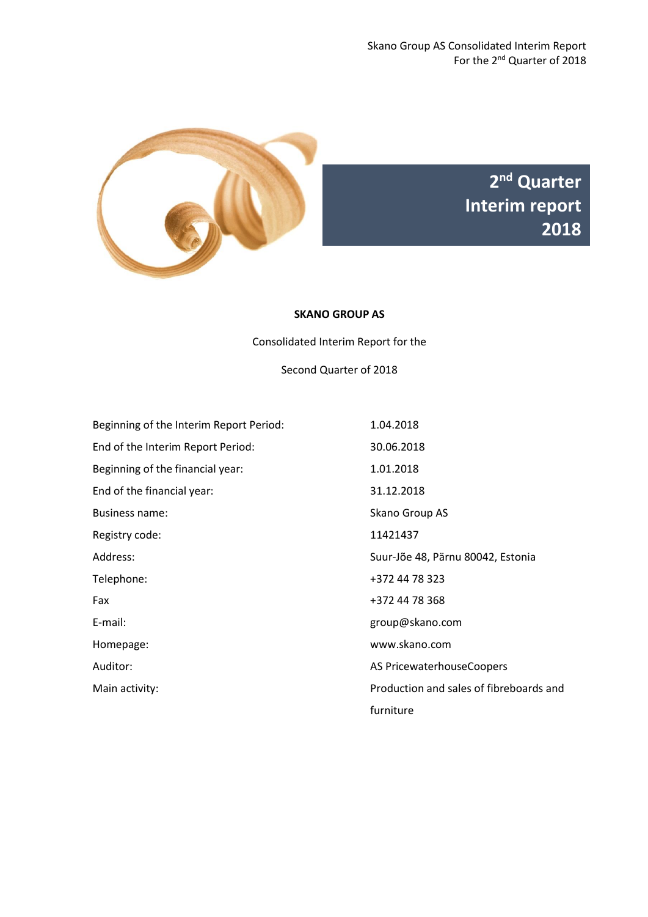

**2 nd Quarter Interim report 2018**

#### **SKANO GROUP AS**

Consolidated Interim Report for the

Second Quarter of 2018

| Beginning of the Interim Report Period: | 1.04.2018                               |
|-----------------------------------------|-----------------------------------------|
| End of the Interim Report Period:       | 30.06.2018                              |
| Beginning of the financial year:        | 1.01.2018                               |
| End of the financial year:              | 31.12.2018                              |
| <b>Business name:</b>                   | Skano Group AS                          |
| Registry code:                          | 11421437                                |
| Address:                                | Suur-Jõe 48, Pärnu 80042, Estonia       |
| Telephone:                              | +372 44 78 323                          |
| Fax                                     | +372 44 78 368                          |
| E-mail:                                 | group@skano.com                         |
| Homepage:                               | www.skano.com                           |
| Auditor:                                | AS PricewaterhouseCoopers               |
| Main activity:                          | Production and sales of fibreboards and |
|                                         | furniture                               |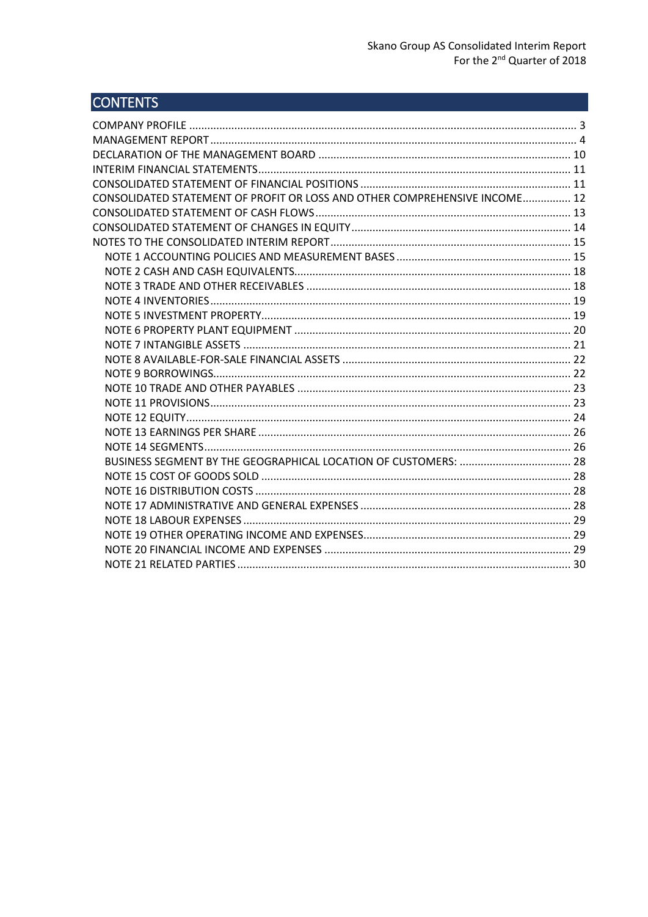# **CONTENTS**

| CONSOLIDATED STATEMENT OF PROFIT OR LOSS AND OTHER COMPREHENSIVE INCOME 12 |  |
|----------------------------------------------------------------------------|--|
|                                                                            |  |
|                                                                            |  |
|                                                                            |  |
|                                                                            |  |
|                                                                            |  |
|                                                                            |  |
|                                                                            |  |
|                                                                            |  |
|                                                                            |  |
|                                                                            |  |
|                                                                            |  |
|                                                                            |  |
|                                                                            |  |
|                                                                            |  |
|                                                                            |  |
|                                                                            |  |
|                                                                            |  |
|                                                                            |  |
|                                                                            |  |
|                                                                            |  |
|                                                                            |  |
|                                                                            |  |
|                                                                            |  |
|                                                                            |  |
|                                                                            |  |
|                                                                            |  |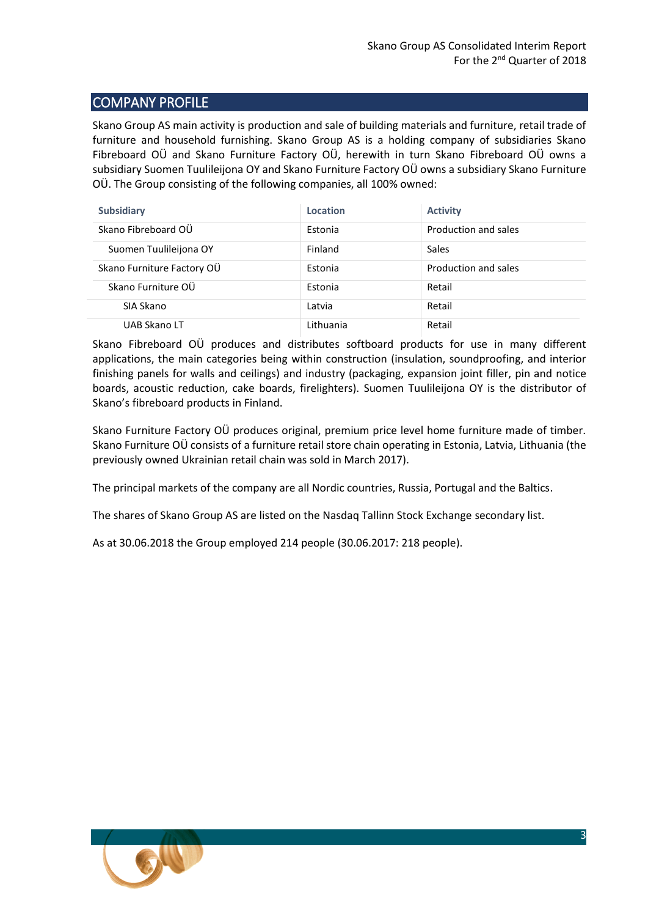# <span id="page-2-0"></span>COMPANY PROFILE

Skano Group AS main activity is production and sale of building materials and furniture, retail trade of furniture and household furnishing. Skano Group AS is a holding company of subsidiaries Skano Fibreboard OÜ and Skano Furniture Factory OÜ, herewith in turn Skano Fibreboard OÜ owns a subsidiary Suomen Tuulileijona OY and Skano Furniture Factory OÜ owns a subsidiary Skano Furniture OÜ. The Group consisting of the following companies, all 100% owned:

| <b>Subsidiary</b>          | Location  | <b>Activity</b>      |
|----------------------------|-----------|----------------------|
| Skano Fibreboard OÜ        | Estonia   | Production and sales |
| Suomen Tuulileijona OY     | Finland   | Sales                |
| Skano Furniture Factory OÜ | Estonia   | Production and sales |
| Skano Furniture OÜ         | Estonia   | Retail               |
| SIA Skano                  | Latvia    | Retail               |
| UAB Skano LT               | Lithuania | Retail               |

Skano Fibreboard OÜ produces and distributes softboard products for use in many different applications, the main categories being within construction (insulation, soundproofing, and interior finishing panels for walls and ceilings) and industry (packaging, expansion joint filler, pin and notice boards, acoustic reduction, cake boards, firelighters). Suomen Tuulileijona OY is the distributor of Skano's fibreboard products in Finland.

Skano Furniture Factory OÜ produces original, premium price level home furniture made of timber. Skano Furniture OÜ consists of a furniture retail store chain operating in Estonia, Latvia, Lithuania (the previously owned Ukrainian retail chain was sold in March 2017).

The principal markets of the company are all Nordic countries, Russia, Portugal and the Baltics.

The shares of Skano Group AS are listed on the Nasdaq Tallinn Stock Exchange secondary list.

As at 30.06.2018 the Group employed 214 people (30.06.2017: 218 people).

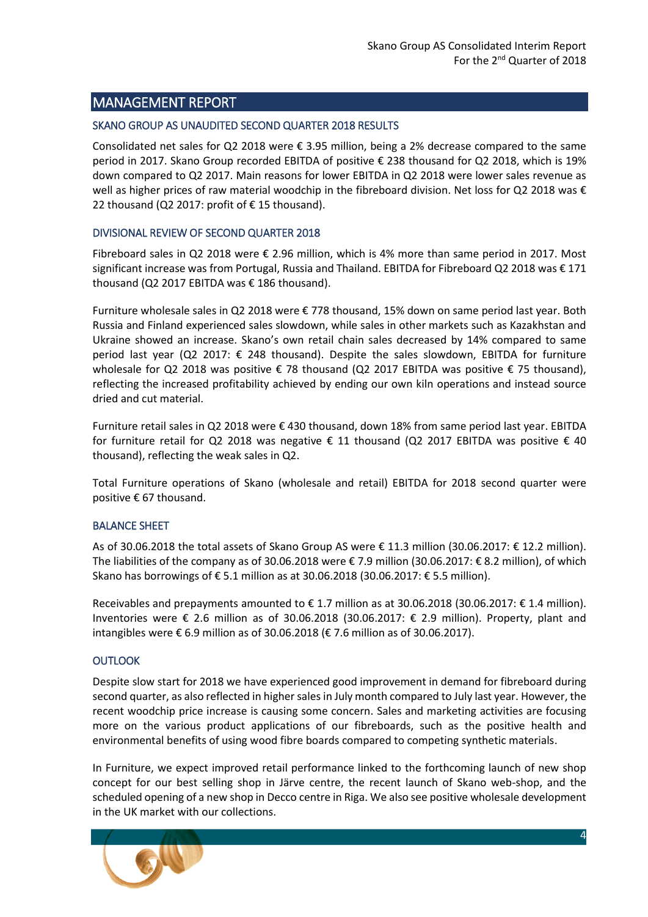## <span id="page-3-0"></span>MANAGEMENT REPORT

#### SKANO GROUP AS UNAUDITED SECOND QUARTER 2018 RESULTS

Consolidated net sales for Q2 2018 were € 3.95 million, being a 2% decrease compared to the same period in 2017. Skano Group recorded EBITDA of positive € 238 thousand for Q2 2018, which is 19% down compared to Q2 2017. Main reasons for lower EBITDA in Q2 2018 were lower sales revenue as well as higher prices of raw material woodchip in the fibreboard division. Net loss for Q2 2018 was € 22 thousand (Q2 2017: profit of € 15 thousand).

#### DIVISIONAL REVIEW OF SECOND QUARTER 2018

Fibreboard sales in Q2 2018 were € 2.96 million, which is 4% more than same period in 2017. Most significant increase was from Portugal, Russia and Thailand. EBITDA for Fibreboard Q2 2018 was € 171 thousand (Q2 2017 EBITDA was € 186 thousand).

Furniture wholesale sales in Q2 2018 were € 778 thousand, 15% down on same period last year. Both Russia and Finland experienced sales slowdown, while sales in other markets such as Kazakhstan and Ukraine showed an increase. Skano's own retail chain sales decreased by 14% compared to same period last year (Q2 2017:  $\epsilon$  248 thousand). Despite the sales slowdown, EBITDA for furniture wholesale for Q2 2018 was positive  $\epsilon$  78 thousand (Q2 2017 EBITDA was positive  $\epsilon$  75 thousand), reflecting the increased profitability achieved by ending our own kiln operations and instead source dried and cut material.

Furniture retail sales in Q2 2018 were € 430 thousand, down 18% from same period last year. EBITDA for furniture retail for Q2 2018 was negative € 11 thousand (Q2 2017 EBITDA was positive € 40 thousand), reflecting the weak sales in Q2.

Total Furniture operations of Skano (wholesale and retail) EBITDA for 2018 second quarter were positive € 67 thousand.

#### BALANCE SHEET

As of 30.06.2018 the total assets of Skano Group AS were € 11.3 million (30.06.2017: € 12.2 million). The liabilities of the company as of 30.06.2018 were  $\epsilon$  7.9 million (30.06.2017:  $\epsilon$  8.2 million), of which Skano has borrowings of € 5.1 million as at 30.06.2018 (30.06.2017: € 5.5 million).

Receivables and prepayments amounted to  $\epsilon$  1.7 million as at 30.06.2018 (30.06.2017:  $\epsilon$  1.4 million). Inventories were € 2.6 million as of 30.06.2018 (30.06.2017: € 2.9 million). Property, plant and intangibles were € 6.9 million as of 30.06.2018 (€ 7.6 million as of 30.06.2017).

#### **OUTLOOK**

Despite slow start for 2018 we have experienced good improvement in demand for fibreboard during second quarter, as also reflected in higher sales in July month compared to July last year. However, the recent woodchip price increase is causing some concern. Sales and marketing activities are focusing more on the various product applications of our fibreboards, such as the positive health and environmental benefits of using wood fibre boards compared to competing synthetic materials.

In Furniture, we expect improved retail performance linked to the forthcoming launch of new shop concept for our best selling shop in Järve centre, the recent launch of Skano web-shop, and the scheduled opening of a new shop in Decco centre in Riga. We also see positive wholesale development in the UK market with our collections.

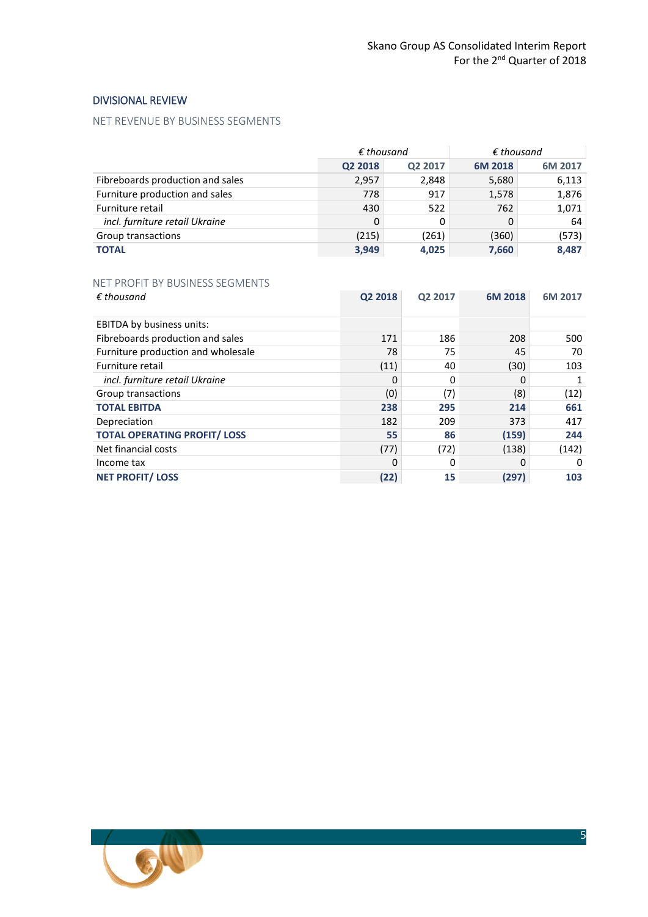#### DIVISIONAL REVIEW

## NET REVENUE BY BUSINESS SEGMENTS

|                                  | $\epsilon$ thousand |         | $\epsilon$ thousand |         |
|----------------------------------|---------------------|---------|---------------------|---------|
|                                  | Q2 2018             | Q2 2017 | 6M 2018             | 6M 2017 |
| Fibreboards production and sales | 2,957               | 2,848   | 5,680               | 6,113   |
| Furniture production and sales   | 778                 | 917     | 1,578               | 1,876   |
| Furniture retail                 | 430                 | 522     | 762                 | 1,071   |
| incl. furniture retail Ukraine   | 0                   | 0       |                     | 64      |
| Group transactions               | (215)               | (261)   | (360)               | (573)   |
| <b>TOTAL</b>                     | 3,949               | 4,025   | 7,660               | 8,487   |

#### NET PROFIT BY BUSINESS SEGMENTS

| $\epsilon$ thousand                | Q2 2018 | Q2 2017 | 6M 2018 | 6M 2017 |
|------------------------------------|---------|---------|---------|---------|
| <b>EBITDA by business units:</b>   |         |         |         |         |
| Fibreboards production and sales   | 171     | 186     | 208     | 500     |
| Furniture production and wholesale | 78      | 75      | 45      | 70      |
| Furniture retail                   | (11)    | 40      | (30)    | 103     |
| incl. furniture retail Ukraine     | 0       | 0       | 0       | 1       |
| Group transactions                 | (0)     | (7)     | (8)     | (12)    |
| <b>TOTAL EBITDA</b>                | 238     | 295     | 214     | 661     |
| Depreciation                       | 182     | 209     | 373     | 417     |
| <b>TOTAL OPERATING PROFIT/LOSS</b> | 55      | 86      | (159)   | 244     |
| Net financial costs                | (77)    | (72)    | (138)   | (142)   |
| Income tax                         | 0       | 0       | 0       | 0       |
| <b>NET PROFIT/LOSS</b>             | (22)    | 15      | (297)   | 103     |

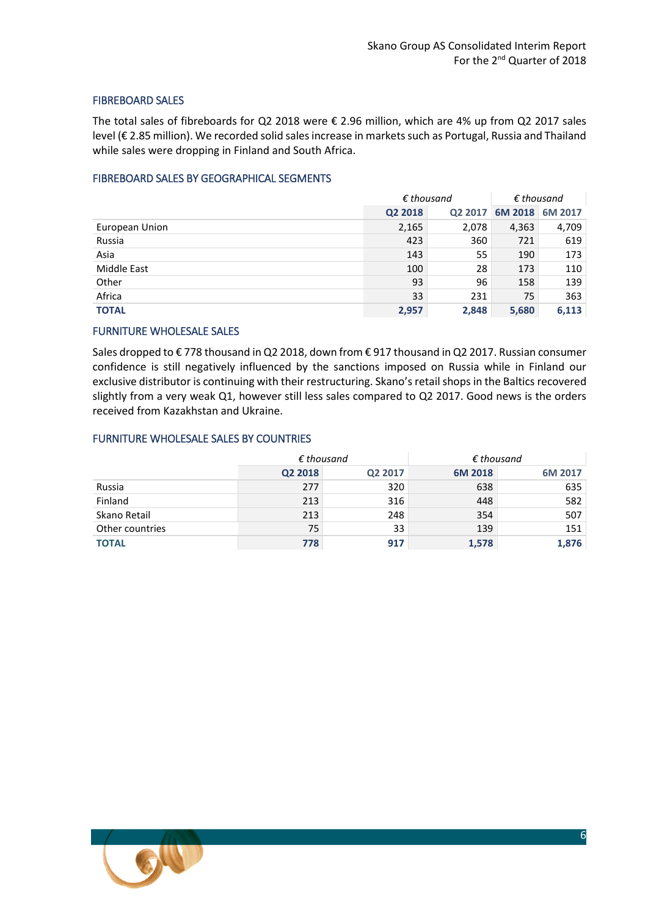#### FIBREBOARD SALES

The total sales of fibreboards for Q2 2018 were € 2.96 million, which are 4% up from Q2 2017 sales level (€ 2.85 million). We recorded solid sales increase in markets such as Portugal, Russia and Thailand while sales were dropping in Finland and South Africa.

### FIBREBOARD SALES BY GEOGRAPHICAL SEGMENTS

|                | $\epsilon$ thousand |         | $\epsilon$ thousand |         |
|----------------|---------------------|---------|---------------------|---------|
|                | Q2 2018             | Q2 2017 | 6M 2018             | 6M 2017 |
| European Union | 2,165               | 2,078   | 4,363               | 4,709   |
| Russia         | 423                 | 360     | 721                 | 619     |
| Asia           | 143                 | 55      | 190                 | 173     |
| Middle East    | 100                 | 28      | 173                 | 110     |
| Other          | 93                  | 96      | 158                 | 139     |
| Africa         | 33                  | 231     | 75                  | 363     |
| <b>TOTAL</b>   | 2,957               | 2,848   | 5,680               | 6,113   |

## FURNITURE WHOLESALE SALES

Sales dropped to € 778 thousand in Q2 2018, down from € 917 thousand in Q2 2017. Russian consumer confidence is still negatively influenced by the sanctions imposed on Russia while in Finland our exclusive distributor is continuing with their restructuring. Skano's retail shops in the Baltics recovered slightly from a very weak Q1, however still less sales compared to Q2 2017. Good news is the orders received from Kazakhstan and Ukraine.

#### FURNITURE WHOLESALE SALES BY COUNTRIES

|                 | $\epsilon$ thousand<br>Q2 2018<br>Q2 2017 |     | $\epsilon$ thousand |         |
|-----------------|-------------------------------------------|-----|---------------------|---------|
|                 |                                           |     | 6M 2018             | 6M 2017 |
| Russia          | 277                                       | 320 | 638                 | 635     |
| Finland         | 213                                       | 316 | 448                 | 582     |
| Skano Retail    | 213                                       | 248 | 354                 | 507     |
| Other countries | 75                                        | 33  | 139                 | 151     |
| <b>TOTAL</b>    | 778                                       | 917 | 1,578               | 1,876   |

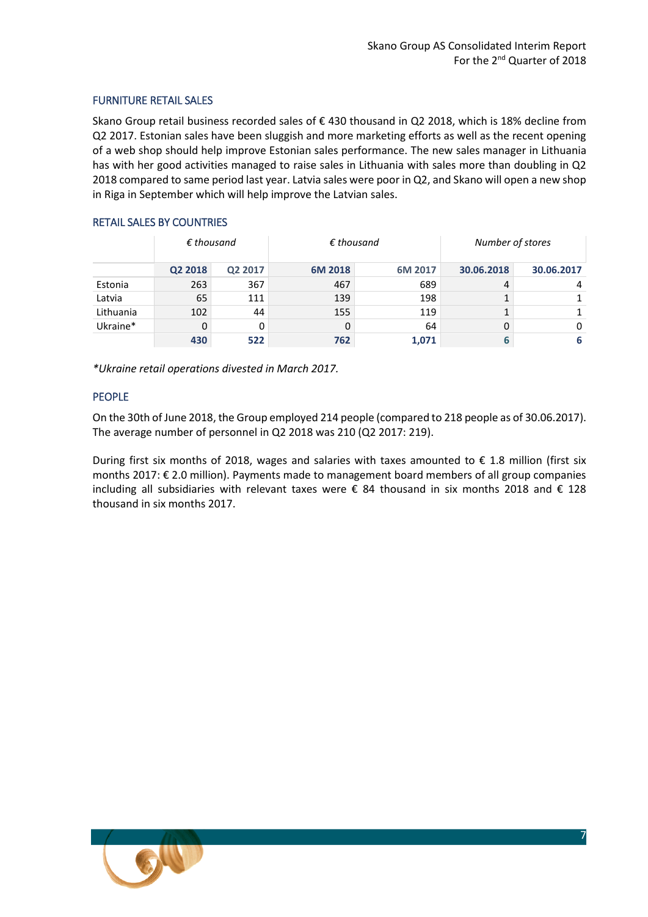#### FURNITURE RETAIL SALES

Skano Group retail business recorded sales of € 430 thousand in Q2 2018, which is 18% decline from Q2 2017. Estonian sales have been sluggish and more marketing efforts as well as the recent opening of a web shop should help improve Estonian sales performance. The new sales manager in Lithuania has with her good activities managed to raise sales in Lithuania with sales more than doubling in Q2 2018 compared to same period last year. Latvia sales were poor in Q2, and Skano will open a new shop in Riga in September which will help improve the Latvian sales.

### RETAIL SALES BY COUNTRIES

|           | $\epsilon$ thousand |         | $\epsilon$ thousand |         | Number of stores |            |
|-----------|---------------------|---------|---------------------|---------|------------------|------------|
|           | Q2 2018             | Q2 2017 | 6M 2018             | 6M 2017 | 30.06.2018       | 30.06.2017 |
| Estonia   | 263                 | 367     | 467                 | 689     | 4                | 4          |
| Latvia    | 65                  | 111     | 139                 | 198     |                  |            |
| Lithuania | 102                 | 44      | 155                 | 119     |                  |            |
| Ukraine*  | 0                   |         | 0                   | 64      |                  | 0          |
|           | 430                 | 522     | 762                 | 1,071   | 6                | 6          |

*\*Ukraine retail operations divested in March 2017.*

#### PEOPLE

On the 30th of June 2018, the Group employed 214 people (compared to 218 people as of 30.06.2017). The average number of personnel in Q2 2018 was 210 (Q2 2017: 219).

During first six months of 2018, wages and salaries with taxes amounted to  $\epsilon$  1.8 million (first six months 2017: € 2.0 million). Payments made to management board members of all group companies including all subsidiaries with relevant taxes were  $\epsilon$  84 thousand in six months 2018 and  $\epsilon$  128 thousand in six months 2017.

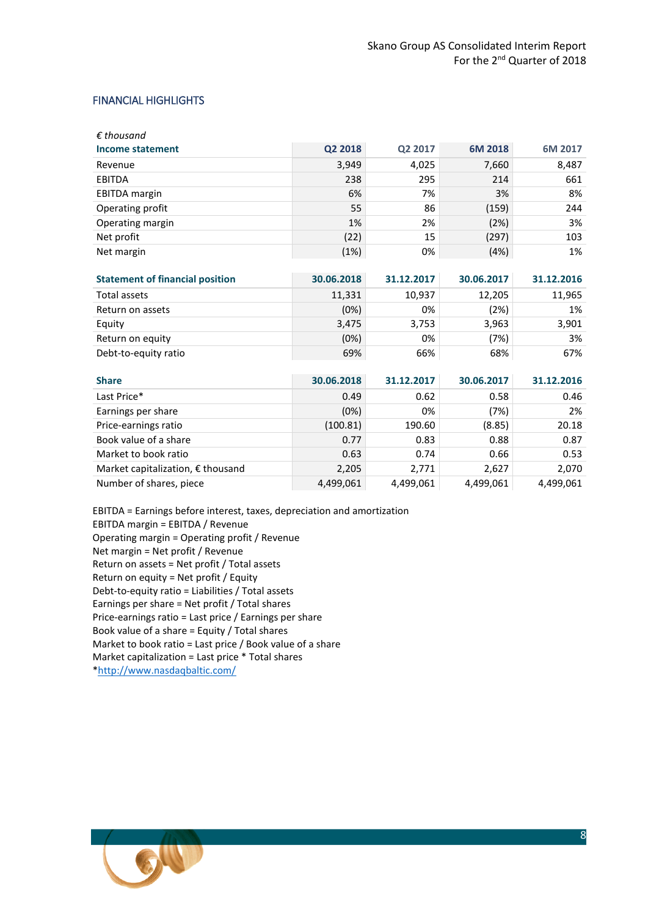#### FINANCIAL HIGHLIGHTS

| $\epsilon$ thousand  |         |         |         |         |
|----------------------|---------|---------|---------|---------|
| Income statement     | Q2 2018 | Q2 2017 | 6M 2018 | 6M 2017 |
| Revenue              | 3,949   | 4,025   | 7,660   | 8,487   |
| <b>EBITDA</b>        | 238     | 295     | 214     | 661     |
| <b>EBITDA</b> margin | 6%      | 7%      | 3%      | 8%      |
| Operating profit     | 55      | 86      | (159)   | 244     |
| Operating margin     | 1%      | 2%      | (2%)    | 3%      |
| Net profit           | (22)    | 15      | (297)   | 103     |
| Net margin           | (1%)    | 0%      | (4%)    | 1%      |

| <b>Statement of financial position</b> | 30.06.2018 | 31.12.2017 | 30.06.2017 | 31.12.2016 |
|----------------------------------------|------------|------------|------------|------------|
| Total assets                           | 11,331     | 10,937     | 12,205     | 11,965     |
| Return on assets                       | (0%)       | 0%         | (2%)       | 1%         |
| Equity                                 | 3,475      | 3,753      | 3,963      | 3,901      |
| Return on equity                       | (0%)       | 0%         | (7%)       | 3%         |
| Debt-to-equity ratio                   | 69%        | 66%        | 68%        | 67%        |

| <b>Share</b>                      | 30.06.2018 | 31.12.2017 | 30.06.2017 | 31.12.2016 |
|-----------------------------------|------------|------------|------------|------------|
| Last Price*                       | 0.49       | 0.62       | 0.58       | 0.46       |
| Earnings per share                | (0%)       | 0%         | (7%)       | 2%         |
| Price-earnings ratio              | (100.81)   | 190.60     | (8.85)     | 20.18      |
| Book value of a share             | 0.77       | 0.83       | 0.88       | 0.87       |
| Market to book ratio              | 0.63       | 0.74       | 0.66       | 0.53       |
| Market capitalization, € thousand | 2,205      | 2,771      | 2,627      | 2,070      |
| Number of shares, piece           | 4,499,061  | 4,499,061  | 4,499,061  | 4,499,061  |

EBITDA = Earnings before interest, taxes, depreciation and amortization EBITDA margin = EBITDA / Revenue Operating margin = Operating profit / Revenue Net margin = Net profit / Revenue Return on assets = Net profit / Total assets Return on equity = Net profit / Equity Debt-to-equity ratio = Liabilities / Total assets Earnings per share = Net profit / Total shares Price-earnings ratio = Last price / Earnings per share Book value of a share = Equity / Total shares Market to book ratio = Last price / Book value of a share Market capitalization = Last price \* Total shares

[\\*http://www.nasdaqbaltic.com/](http://www.nasdaqbaltic.com/)

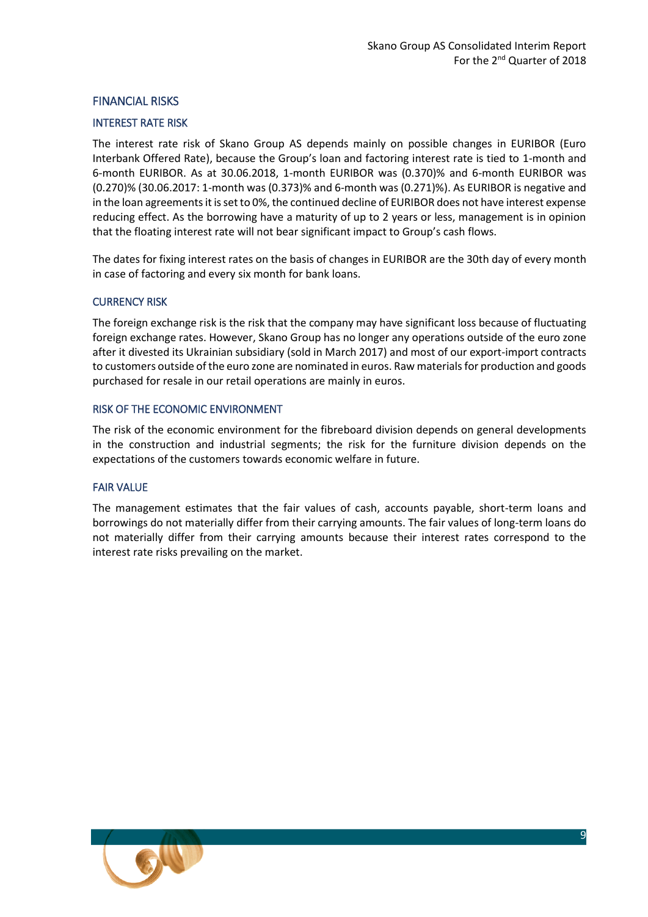## FINANCIAL RISKS

#### INTEREST RATE RISK

The interest rate risk of Skano Group AS depends mainly on possible changes in EURIBOR (Euro Interbank Offered Rate), because the Group's loan and factoring interest rate is tied to 1-month and 6-month EURIBOR. As at 30.06.2018, 1-month EURIBOR was (0.370)% and 6-month EURIBOR was (0.270)% (30.06.2017: 1-month was (0.373)% and 6-month was (0.271)%). As EURIBOR is negative and in the loan agreements it is set to 0%, the continued decline of EURIBOR does not have interest expense reducing effect. As the borrowing have a maturity of up to 2 years or less, management is in opinion that the floating interest rate will not bear significant impact to Group's cash flows.

The dates for fixing interest rates on the basis of changes in EURIBOR are the 30th day of every month in case of factoring and every six month for bank loans.

#### CURRENCY RISK

The foreign exchange risk is the risk that the company may have significant loss because of fluctuating foreign exchange rates. However, Skano Group has no longer any operations outside of the euro zone after it divested its Ukrainian subsidiary (sold in March 2017) and most of our export-import contracts to customers outside of the euro zone are nominated in euros. Raw materials for production and goods purchased for resale in our retail operations are mainly in euros.

#### RISK OF THE ECONOMIC ENVIRONMENT

The risk of the economic environment for the fibreboard division depends on general developments in the construction and industrial segments; the risk for the furniture division depends on the expectations of the customers towards economic welfare in future.

#### FAIR VALUE

The management estimates that the fair values of cash, accounts payable, short-term loans and borrowings do not materially differ from their carrying amounts. The fair values of long-term loans do not materially differ from their carrying amounts because their interest rates correspond to the interest rate risks prevailing on the market.

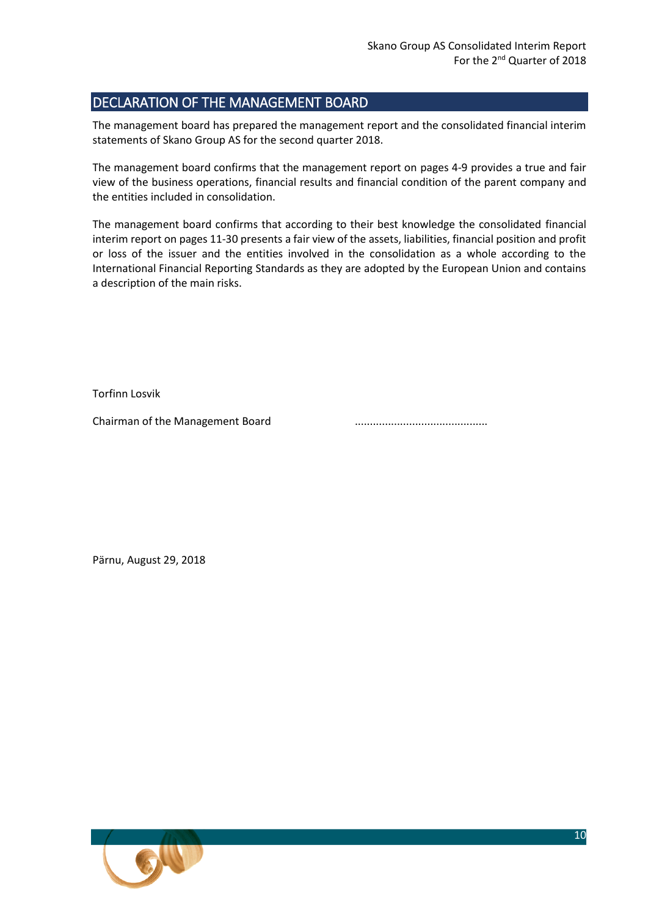# <span id="page-9-0"></span>DECLARATION OF THE MANAGEMENT BOARD

The management board has prepared the management report and the consolidated financial interim statements of Skano Group AS for the second quarter 2018.

The management board confirms that the management report on pages 4-9 provides a true and fair view of the business operations, financial results and financial condition of the parent company and the entities included in consolidation.

The management board confirms that according to their best knowledge the consolidated financial interim report on pages 11-30 presents a fair view of the assets, liabilities, financial position and profit or loss of the issuer and the entities involved in the consolidation as a whole according to the International Financial Reporting Standards as they are adopted by the European Union and contains a description of the main risks.

Torfinn Losvik

Chairman of the Management Board ............................................

Pärnu, August 29, 2018

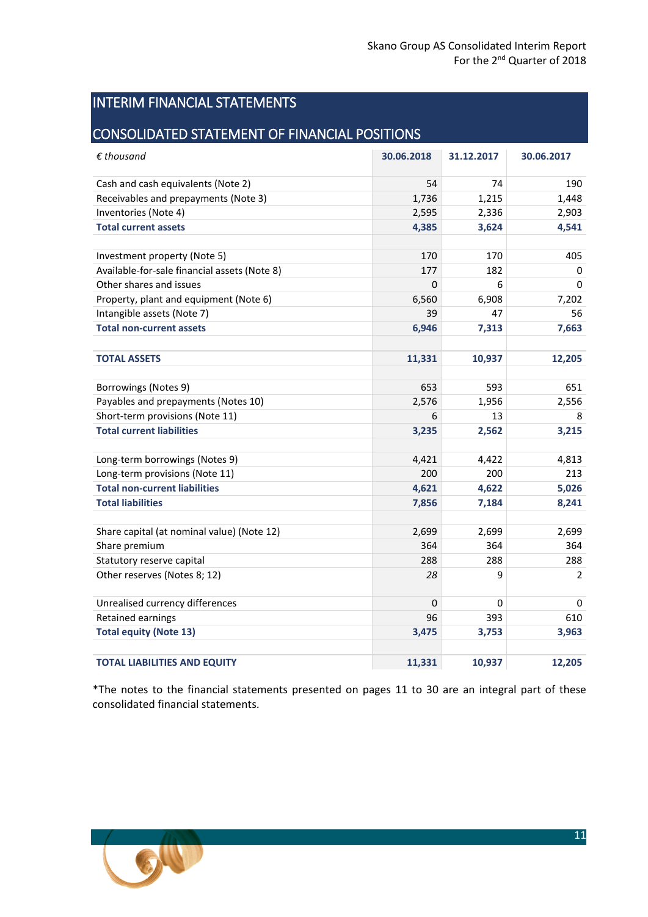# <span id="page-10-0"></span>INTERIM FINANCIAL STATEMENTS

# <span id="page-10-1"></span>CONSOLIDATED STATEMENT OF FINANCIAL POSITIONS

| $\epsilon$ thousand                          | 30.06.2018 | 31.12.2017 | 30.06.2017     |
|----------------------------------------------|------------|------------|----------------|
| Cash and cash equivalents (Note 2)           | 54         | 74         | 190            |
| Receivables and prepayments (Note 3)         | 1,736      | 1,215      | 1,448          |
| Inventories (Note 4)                         | 2,595      | 2,336      | 2,903          |
| <b>Total current assets</b>                  | 4,385      | 3,624      | 4,541          |
|                                              |            |            |                |
| Investment property (Note 5)                 | 170        | 170        | 405            |
| Available-for-sale financial assets (Note 8) | 177        | 182        | 0              |
| Other shares and issues                      | $\Omega$   | 6          | 0              |
| Property, plant and equipment (Note 6)       | 6,560      | 6,908      | 7,202          |
| Intangible assets (Note 7)                   | 39         | 47         | 56             |
| <b>Total non-current assets</b>              | 6,946      | 7,313      | 7,663          |
|                                              |            |            |                |
| <b>TOTAL ASSETS</b>                          | 11,331     | 10,937     | 12,205         |
|                                              |            |            |                |
| Borrowings (Notes 9)                         | 653        | 593        | 651            |
| Payables and prepayments (Notes 10)          | 2,576      | 1,956      | 2,556          |
| Short-term provisions (Note 11)              | 6          | 13         | 8              |
| <b>Total current liabilities</b>             | 3,235      | 2,562      | 3,215          |
|                                              |            |            |                |
| Long-term borrowings (Notes 9)               | 4,421      | 4,422      | 4,813          |
| Long-term provisions (Note 11)               | 200        | 200        | 213            |
| <b>Total non-current liabilities</b>         | 4,621      | 4,622      | 5,026          |
| <b>Total liabilities</b>                     | 7,856      | 7,184      | 8,241          |
|                                              |            |            |                |
| Share capital (at nominal value) (Note 12)   | 2,699      | 2,699      | 2,699          |
| Share premium                                | 364        | 364        | 364            |
| Statutory reserve capital                    | 288        | 288        | 288            |
| Other reserves (Notes 8; 12)                 | 28         | 9          | $\overline{2}$ |
|                                              |            |            |                |
| Unrealised currency differences              | $\Omega$   | 0          | 0              |
| <b>Retained earnings</b>                     | 96         | 393        | 610            |
| <b>Total equity (Note 13)</b>                | 3,475      | 3,753      | 3,963          |
|                                              |            |            |                |
| <b>TOTAL LIABILITIES AND EQUITY</b>          | 11,331     | 10,937     | 12,205         |

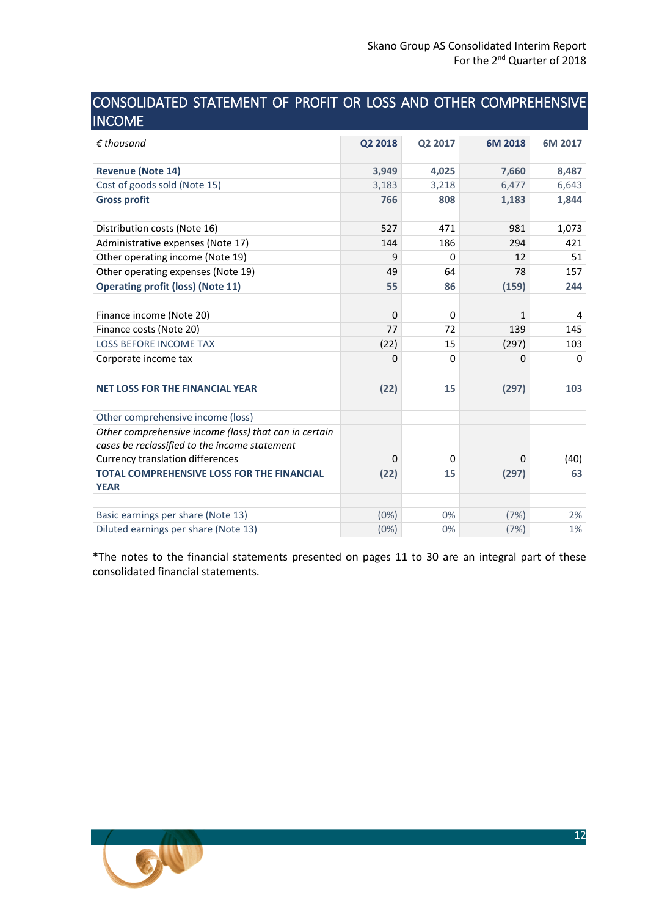# <span id="page-11-0"></span>CONSOLIDATED STATEMENT OF PROFIT OR LOSS AND OTHER COMPREHENSIVE INCOME

| $\epsilon$ thousand                                              | Q2 2018  | Q2 2017     | 6M 2018      | 6M 2017 |
|------------------------------------------------------------------|----------|-------------|--------------|---------|
| <b>Revenue (Note 14)</b>                                         | 3,949    | 4,025       | 7,660        | 8,487   |
| Cost of goods sold (Note 15)                                     | 3,183    | 3,218       | 6,477        | 6,643   |
| <b>Gross profit</b>                                              | 766      | 808         | 1,183        | 1,844   |
|                                                                  |          |             |              |         |
| Distribution costs (Note 16)                                     | 527      | 471         | 981          | 1,073   |
| Administrative expenses (Note 17)                                | 144      | 186         | 294          | 421     |
| Other operating income (Note 19)                                 | 9        | $\Omega$    | 12           | 51      |
| Other operating expenses (Note 19)                               | 49       | 64          | 78           | 157     |
| <b>Operating profit (loss) (Note 11)</b>                         | 55       | 86          | (159)        | 244     |
|                                                                  |          |             |              |         |
| Finance income (Note 20)                                         | 0        | $\mathbf 0$ | $\mathbf{1}$ | 4       |
| Finance costs (Note 20)                                          | 77       | 72          | 139          | 145     |
| <b>LOSS BEFORE INCOME TAX</b>                                    | (22)     | 15          | (297)        | 103     |
| Corporate income tax                                             | 0        | 0           | 0            | 0       |
|                                                                  |          |             |              |         |
| <b>NET LOSS FOR THE FINANCIAL YEAR</b>                           | (22)     | 15          | (297)        | 103     |
|                                                                  |          |             |              |         |
| Other comprehensive income (loss)                                |          |             |              |         |
| Other comprehensive income (loss) that can in certain            |          |             |              |         |
| cases be reclassified to the income statement                    |          |             |              |         |
| <b>Currency translation differences</b>                          | $\Omega$ | 0           | $\Omega$     | (40)    |
| <b>TOTAL COMPREHENSIVE LOSS FOR THE FINANCIAL</b><br><b>YEAR</b> | (22)     | 15          | (297)        | 63      |
| Basic earnings per share (Note 13)                               | (0%)     | 0%          | (7%)         | 2%      |
| Diluted earnings per share (Note 13)                             | (0%)     | 0%          | (7%)         | 1%      |

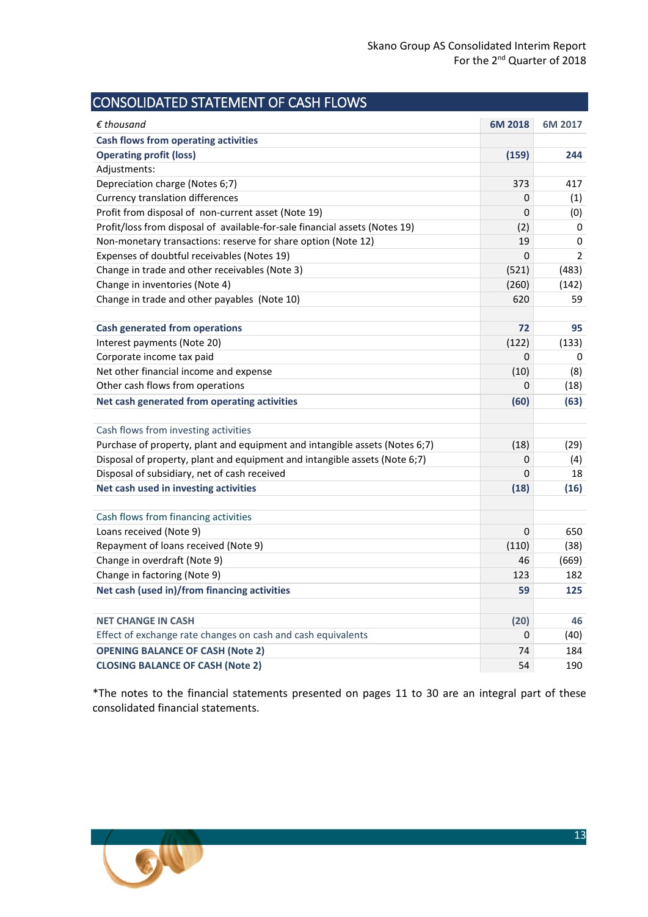<span id="page-12-0"></span>

| <b>CONSOLIDATED STATEMENT OF CASH FLOWS</b>                                 |         |         |
|-----------------------------------------------------------------------------|---------|---------|
| $\epsilon$ thousand                                                         | 6M 2018 | 6M 2017 |
| <b>Cash flows from operating activities</b>                                 |         |         |
| <b>Operating profit (loss)</b>                                              | (159)   | 244     |
| Adjustments:                                                                |         |         |
| Depreciation charge (Notes 6;7)                                             | 373     | 417     |
| <b>Currency translation differences</b>                                     | 0       | (1)     |
| Profit from disposal of non-current asset (Note 19)                         | 0       | (0)     |
| Profit/loss from disposal of available-for-sale financial assets (Notes 19) | (2)     | 0       |
| Non-monetary transactions: reserve for share option (Note 12)               | 19      | 0       |
| Expenses of doubtful receivables (Notes 19)                                 | 0       | 2       |
| Change in trade and other receivables (Note 3)                              | (521)   | (483)   |
| Change in inventories (Note 4)                                              | (260)   | (142)   |
| Change in trade and other payables (Note 10)                                | 620     | 59      |
|                                                                             |         |         |
| <b>Cash generated from operations</b>                                       | 72      | 95      |
| Interest payments (Note 20)                                                 | (122)   | (133)   |
| Corporate income tax paid                                                   | 0       | 0       |
| Net other financial income and expense                                      | (10)    | (8)     |
| Other cash flows from operations                                            | 0       | (18)    |
| Net cash generated from operating activities                                | (60)    | (63)    |
|                                                                             |         |         |
| Cash flows from investing activities                                        |         |         |
| Purchase of property, plant and equipment and intangible assets (Notes 6;7) | (18)    | (29)    |
| Disposal of property, plant and equipment and intangible assets (Note 6;7)  | 0       | (4)     |
| Disposal of subsidiary, net of cash received                                | 0       | 18      |
| Net cash used in investing activities                                       | (18)    | (16)    |
|                                                                             |         |         |
| Cash flows from financing activities                                        |         |         |
| Loans received (Note 9)                                                     | 0       | 650     |
| Repayment of loans received (Note 9)                                        | (110)   | (38)    |
| Change in overdraft (Note 9)                                                | 46      | (669)   |
| Change in factoring (Note 9)                                                | 123     | 182     |
| Net cash (used in)/from financing activities                                | 59      | 125     |
|                                                                             |         |         |
| <b>NET CHANGE IN CASH</b>                                                   | (20)    | 46      |
| Effect of exchange rate changes on cash and cash equivalents                | 0       | (40)    |
| <b>OPENING BALANCE OF CASH (Note 2)</b>                                     | 74      | 184     |
| <b>CLOSING BALANCE OF CASH (Note 2)</b>                                     | 54      | 190     |

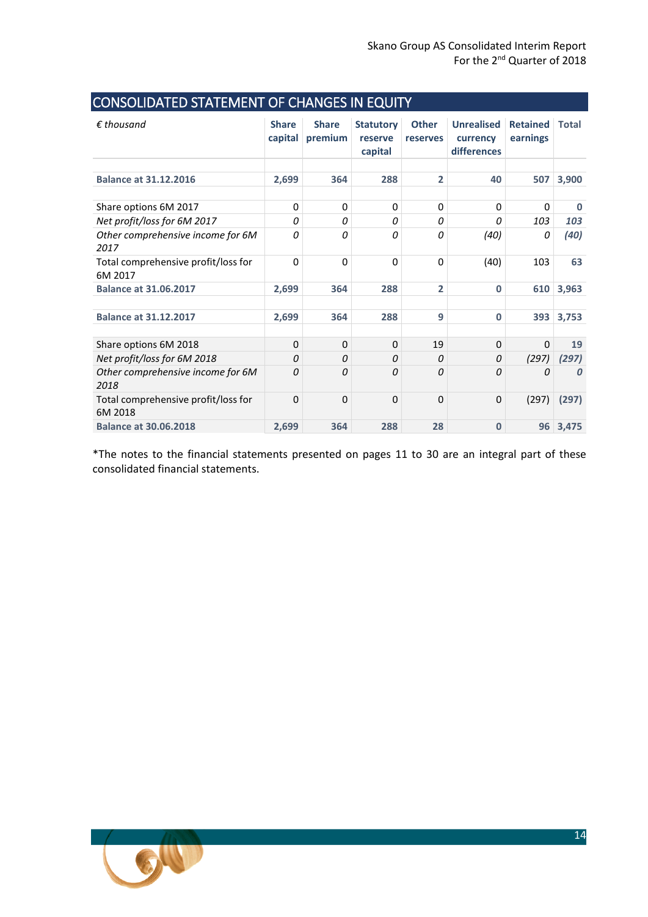| $\epsilon$ thousand                            | <b>Share</b> | <b>Share</b> | <b>Statutory</b> | <b>Other</b> | <b>Unrealised</b> | <b>Retained</b> | <b>Total</b> |
|------------------------------------------------|--------------|--------------|------------------|--------------|-------------------|-----------------|--------------|
|                                                | capital      | premium      | reserve          | reserves     | currency          | earnings        |              |
|                                                |              |              | capital          |              | differences       |                 |              |
|                                                |              |              |                  |              |                   |                 |              |
| <b>Balance at 31.12.2016</b>                   | 2,699        | 364          | 288              | 2            | 40                | 507             | 3,900        |
| Share options 6M 2017                          | $\Omega$     | $\Omega$     | 0                | $\Omega$     | 0                 | 0               | $\bf{0}$     |
| Net profit/loss for 6M 2017                    | 0            | 0            | 0                | 0            | Ω                 | 103             | 103          |
| Other comprehensive income for 6M              | 0            | 0            | 0                | 0            | (40)              | 0               | (40)         |
| 2017                                           |              |              |                  |              |                   |                 |              |
| Total comprehensive profit/loss for            | $\mathbf 0$  | $\Omega$     | 0                | $\Omega$     | (40)              | 103             | 63           |
| 6M 2017                                        |              |              |                  |              |                   |                 |              |
| <b>Balance at 31.06.2017</b>                   | 2,699        | 364          | 288              | 2            | $\mathbf{0}$      | 610             | 3,963        |
|                                                |              |              |                  |              |                   |                 |              |
| <b>Balance at 31.12.2017</b>                   | 2,699        | 364          | 288              | 9            | $\mathbf{0}$      | 393             | 3,753        |
|                                                |              |              |                  |              |                   |                 |              |
| Share options 6M 2018                          | 0            | 0            | $\Omega$         | 19           | $\Omega$          | $\Omega$        | 19           |
| Net profit/loss for 6M 2018                    | 0            | 0            | 0                | 0            | 0                 | (297)           | (297)        |
| Other comprehensive income for 6M              | 0            | 0            | 0                | 0            | 0                 | Ω               | 0            |
| 2018                                           |              |              |                  |              |                   |                 |              |
| Total comprehensive profit/loss for<br>6M 2018 | 0            | $\mathbf 0$  | 0                | 0            | $\Omega$          | (297)           | (297)        |
| <b>Balance at 30.06.2018</b>                   | 2,699        | 364          | 288              | 28           | $\mathbf 0$       |                 | 96 3,475     |

# <span id="page-13-0"></span>CONSOLIDATED STATEMENT OF CHANGES IN EQUITY

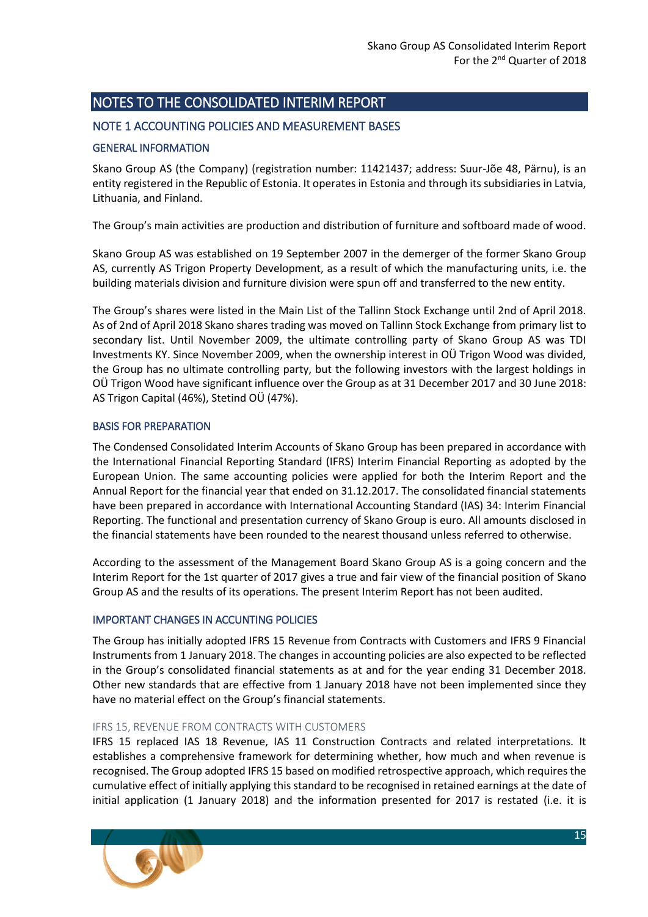# <span id="page-14-0"></span>NOTES TO THE CONSOLIDATED INTERIM REPORT

## <span id="page-14-1"></span>NOTE 1 ACCOUNTING POLICIES AND MEASUREMENT BASES

#### GENERAL INFORMATION

Skano Group AS (the Company) (registration number: 11421437; address: Suur-Jõe 48, Pärnu), is an entity registered in the Republic of Estonia. It operates in Estonia and through its subsidiaries in Latvia, Lithuania, and Finland.

The Group's main activities are production and distribution of furniture and softboard made of wood.

Skano Group AS was established on 19 September 2007 in the demerger of the former Skano Group AS, currently AS Trigon Property Development, as a result of which the manufacturing units, i.e. the building materials division and furniture division were spun off and transferred to the new entity.

The Group's shares were listed in the Main List of the Tallinn Stock Exchange until 2nd of April 2018. As of 2nd of April 2018 Skano shares trading was moved on Tallinn Stock Exchange from primary list to secondary list. Until November 2009, the ultimate controlling party of Skano Group AS was TDI Investments KY. Since November 2009, when the ownership interest in OÜ Trigon Wood was divided, the Group has no ultimate controlling party, but the following investors with the largest holdings in OÜ Trigon Wood have significant influence over the Group as at 31 December 2017 and 30 June 2018: AS Trigon Capital (46%), Stetind OÜ (47%).

#### BASIS FOR PREPARATION

The Condensed Consolidated Interim Accounts of Skano Group has been prepared in accordance with the International Financial Reporting Standard (IFRS) Interim Financial Reporting as adopted by the European Union. The same accounting policies were applied for both the Interim Report and the Annual Report for the financial year that ended on 31.12.2017. The consolidated financial statements have been prepared in accordance with International Accounting Standard (IAS) 34: Interim Financial Reporting. The functional and presentation currency of Skano Group is euro. All amounts disclosed in the financial statements have been rounded to the nearest thousand unless referred to otherwise.

According to the assessment of the Management Board Skano Group AS is a going concern and the Interim Report for the 1st quarter of 2017 gives a true and fair view of the financial position of Skano Group AS and the results of its operations. The present Interim Report has not been audited.

#### IMPORTANT CHANGES IN ACCUNTING POLICIES

The Group has initially adopted IFRS 15 Revenue from Contracts with Customers and IFRS 9 Financial Instruments from 1 January 2018. The changes in accounting policies are also expected to be reflected in the Group's consolidated financial statements as at and for the year ending 31 December 2018. Other new standards that are effective from 1 January 2018 have not been implemented since they have no material effect on the Group's financial statements.

#### IFRS 15, REVENUE FROM CONTRACTS WITH CUSTOMERS

IFRS 15 replaced IAS 18 Revenue, IAS 11 Construction Contracts and related interpretations. It establishes a comprehensive framework for determining whether, how much and when revenue is recognised. The Group adopted IFRS 15 based on modified retrospective approach, which requires the cumulative effect of initially applying this standard to be recognised in retained earnings at the date of initial application (1 January 2018) and the information presented for 2017 is restated (i.e. it is

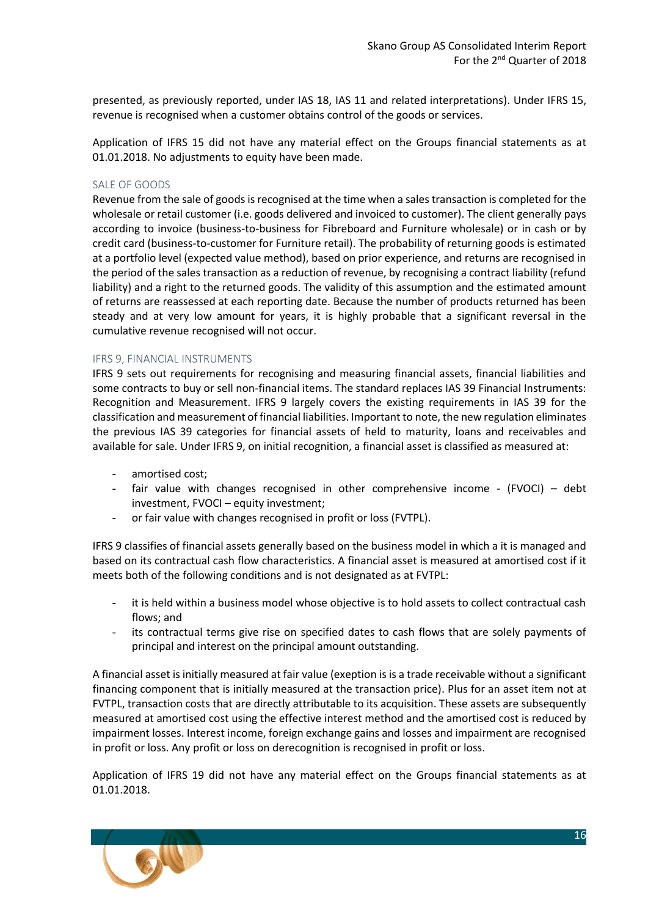presented, as previously reported, under IAS 18, IAS 11 and related interpretations). Under IFRS 15, revenue is recognised when a customer obtains control of the goods or services.

Application of IFRS 15 did not have any material effect on the Groups financial statements as at 01.01.2018. No adjustments to equity have been made.

#### SALE OF GOODS

Revenue from the sale of goods is recognised at the time when a sales transaction is completed for the wholesale or retail customer (i.e. goods delivered and invoiced to customer). The client generally pays according to invoice (business-to-business for Fibreboard and Furniture wholesale) or in cash or by credit card (business-to-customer for Furniture retail). The probability of returning goods is estimated at a portfolio level (expected value method), based on prior experience, and returns are recognised in the period of the sales transaction as a reduction of revenue, by recognising a contract liability (refund liability) and a right to the returned goods. The validity of this assumption and the estimated amount of returns are reassessed at each reporting date. Because the number of products returned has been steady and at very low amount for years, it is highly probable that a significant reversal in the cumulative revenue recognised will not occur.

#### IFRS 9, FINANCIAL INSTRUMENTS

IFRS 9 sets out requirements for recognising and measuring financial assets, financial liabilities and some contracts to buy or sell non-financial items. The standard replaces IAS 39 Financial Instruments: Recognition and Measurement. IFRS 9 largely covers the existing requirements in IAS 39 for the classification and measurement of financial liabilities. Important to note, the new regulation eliminates the previous IAS 39 categories for financial assets of held to maturity, loans and receivables and available for sale. Under IFRS 9, on initial recognition, a financial asset is classified as measured at:

- amortised cost;
- fair value with changes recognised in other comprehensive income (FVOCI) debt investment, FVOCI – equity investment;
- or fair value with changes recognised in profit or loss (FVTPL).

IFRS 9 classifies of financial assets generally based on the business model in which a it is managed and based on its contractual cash flow characteristics. A financial asset is measured at amortised cost if it meets both of the following conditions and is not designated as at FVTPL:

- it is held within a business model whose objective is to hold assets to collect contractual cash flows; and
- its contractual terms give rise on specified dates to cash flows that are solely payments of principal and interest on the principal amount outstanding.

A financial asset is initially measured at fair value (exeption is is a trade receivable without a significant financing component that is initially measured at the transaction price). Plus for an asset item not at FVTPL, transaction costs that are directly attributable to its acquisition. These assets are subsequently measured at amortised cost using the effective interest method and the amortised cost is reduced by impairment losses. Interest income, foreign exchange gains and losses and impairment are recognised in profit or loss. Any profit or loss on derecognition is recognised in profit or loss.

Application of IFRS 19 did not have any material effect on the Groups financial statements as at 01.01.2018.

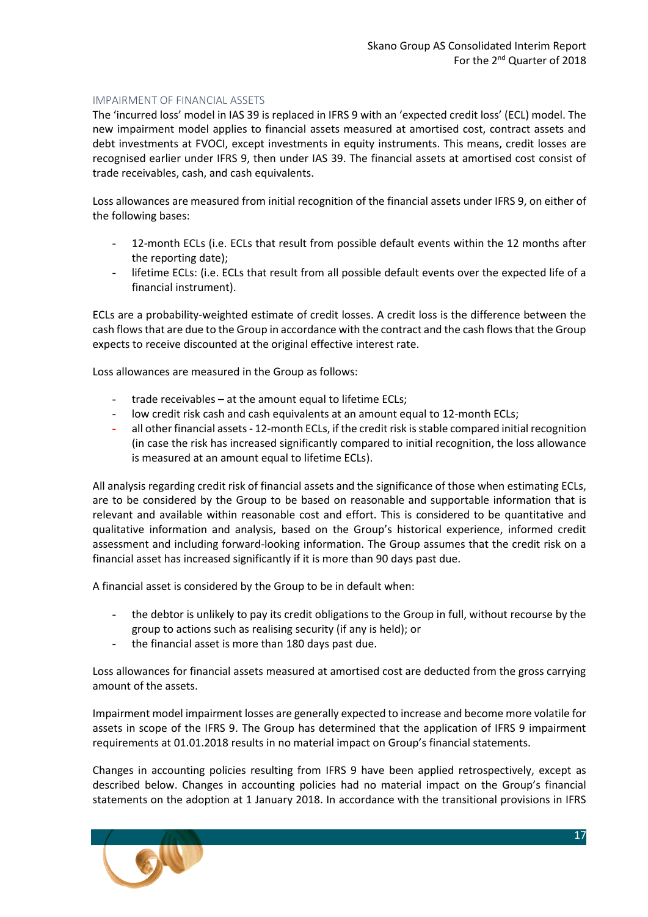#### IMPAIRMENT OF FINANCIAL ASSETS

The 'incurred loss' model in IAS 39 is replaced in IFRS 9 with an 'expected credit loss' (ECL) model. The new impairment model applies to financial assets measured at amortised cost, contract assets and debt investments at FVOCI, except investments in equity instruments. This means, credit losses are recognised earlier under IFRS 9, then under IAS 39. The financial assets at amortised cost consist of trade receivables, cash, and cash equivalents.

Loss allowances are measured from initial recognition of the financial assets under IFRS 9, on either of the following bases:

- 12-month ECLs (i.e. ECLs that result from possible default events within the 12 months after the reporting date);
- lifetime ECLs: (i.e. ECLs that result from all possible default events over the expected life of a financial instrument).

ECLs are a probability-weighted estimate of credit losses. A credit loss is the difference between the cash flows that are due to the Group in accordance with the contract and the cash flows that the Group expects to receive discounted at the original effective interest rate.

Loss allowances are measured in the Group as follows:

- trade receivables at the amount equal to lifetime ECLs;
- low credit risk cash and cash equivalents at an amount equal to 12-month ECLs;
- all other financial assets 12-month ECLs, if the credit risk is stable compared initial recognition (in case the risk has increased significantly compared to initial recognition, the loss allowance is measured at an amount equal to lifetime ECLs).

All analysis regarding credit risk of financial assets and the significance of those when estimating ECLs, are to be considered by the Group to be based on reasonable and supportable information that is relevant and available within reasonable cost and effort. This is considered to be quantitative and qualitative information and analysis, based on the Group's historical experience, informed credit assessment and including forward-looking information. The Group assumes that the credit risk on a financial asset has increased significantly if it is more than 90 days past due.

A financial asset is considered by the Group to be in default when:

- the debtor is unlikely to pay its credit obligations to the Group in full, without recourse by the group to actions such as realising security (if any is held); or
- the financial asset is more than 180 days past due.

Loss allowances for financial assets measured at amortised cost are deducted from the gross carrying amount of the assets.

Impairment model impairment losses are generally expected to increase and become more volatile for assets in scope of the IFRS 9. The Group has determined that the application of IFRS 9 impairment requirements at 01.01.2018 results in no material impact on Group's financial statements.

Changes in accounting policies resulting from IFRS 9 have been applied retrospectively, except as described below. Changes in accounting policies had no material impact on the Group's financial statements on the adoption at 1 January 2018. In accordance with the transitional provisions in IFRS

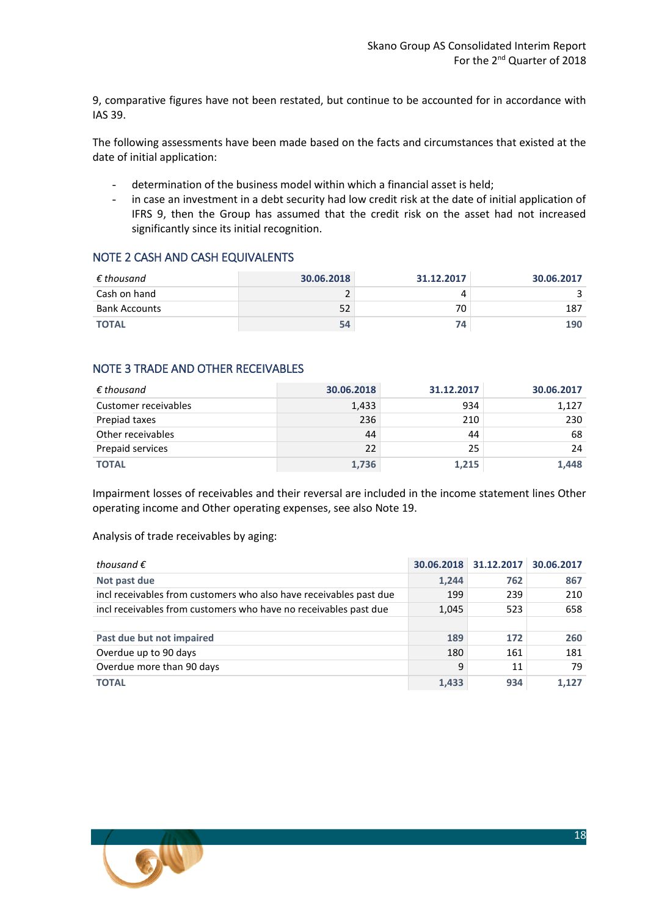9, comparative figures have not been restated, but continue to be accounted for in accordance with IAS 39.

The following assessments have been made based on the facts and circumstances that existed at the date of initial application:

- determination of the business model within which a financial asset is held;
- in case an investment in a debt security had low credit risk at the date of initial application of IFRS 9, then the Group has assumed that the credit risk on the asset had not increased significantly since its initial recognition.

## <span id="page-17-0"></span>NOTE 2 CASH AND CASH EQUIVALENTS

| $\epsilon$ thousand | 30.06.2018 | 31.12.2017 | 30.06.2017 |
|---------------------|------------|------------|------------|
| Cash on hand        |            | 4          |            |
| Bank Accounts       | 52         | 70         | 187        |
| <b>TOTAL</b>        | 54         | 74         | 190        |

## <span id="page-17-1"></span>NOTE 3 TRADE AND OTHER RECEIVABLES

| $\epsilon$ thousand  | 30.06.2018 | 31.12.2017 | 30.06.2017 |
|----------------------|------------|------------|------------|
| Customer receivables | 1,433      | 934        | 1,127      |
| Prepiad taxes        | 236        | 210        | 230        |
| Other receivables    | 44         | 44         | 68         |
| Prepaid services     | 22         | 25         | 24         |
| <b>TOTAL</b>         | 1,736      | 1,215      | 1,448      |

Impairment losses of receivables and their reversal are included in the income statement lines Other operating income and Other operating expenses, see also Note 19.

#### Analysis of trade receivables by aging:

| thousand $\epsilon$                                                | 30.06.2018 | 31.12.2017 | 30.06.2017 |
|--------------------------------------------------------------------|------------|------------|------------|
| Not past due                                                       | 1,244      | 762        | 867        |
| incl receivables from customers who also have receivables past due | 199        | 239        | 210        |
| incl receivables from customers who have no receivables past due   | 1,045      | 523        | 658        |
|                                                                    |            |            |            |
| Past due but not impaired                                          | 189        | 172        | 260        |
| Overdue up to 90 days                                              | 180        | 161        | 181        |
| Overdue more than 90 days                                          | 9          | 11         | 79         |
| <b>TOTAL</b>                                                       | 1,433      | 934        | 1.127      |

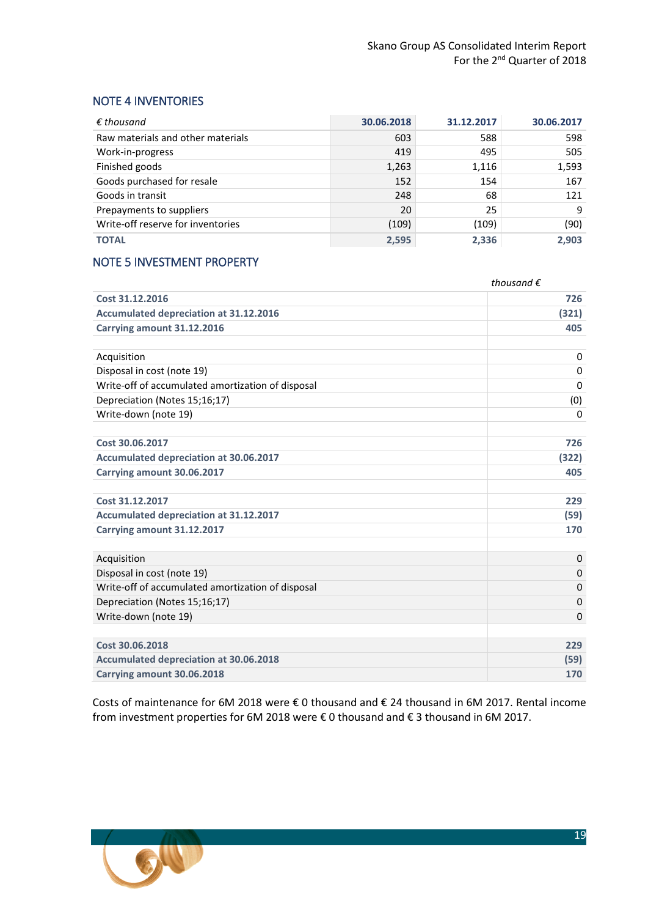## <span id="page-18-0"></span>NOTE 4 INVENTORIES

| $\epsilon$ thousand               | 30.06.2018 | 31.12.2017 | 30.06.2017 |
|-----------------------------------|------------|------------|------------|
| Raw materials and other materials | 603        | 588        | 598        |
| Work-in-progress                  | 419        | 495        | 505        |
| Finished goods                    | 1,263      | 1,116      | 1,593      |
| Goods purchased for resale        | 152        | 154        | 167        |
| Goods in transit                  | 248        | 68         | 121        |
| Prepayments to suppliers          | 20         | 25         | q          |
| Write-off reserve for inventories | (109)      | (109)      | (90)       |
| <b>TOTAL</b>                      | 2,595      | 2,336      | 2,903      |

## <span id="page-18-1"></span>NOTE 5 INVESTMENT PROPERTY

|                                                   | thousand $\epsilon$ |
|---------------------------------------------------|---------------------|
| Cost 31.12.2016                                   | 726                 |
| <b>Accumulated depreciation at 31.12.2016</b>     | (321)               |
| Carrying amount 31.12.2016                        | 405                 |
|                                                   |                     |
| Acquisition                                       | 0                   |
| Disposal in cost (note 19)                        | 0                   |
| Write-off of accumulated amortization of disposal | 0                   |
| Depreciation (Notes 15;16;17)                     | (0)                 |
| Write-down (note 19)                              | 0                   |
| Cost 30.06.2017                                   | 726                 |
| Accumulated depreciation at 30.06.2017            | (322)               |
| Carrying amount 30.06.2017                        | 405                 |
| Cost 31.12.2017                                   | 229                 |
| Accumulated depreciation at 31.12.2017            | (59)                |
| Carrying amount 31.12.2017                        | 170                 |
| Acquisition                                       | $\mathbf 0$         |
| Disposal in cost (note 19)                        | $\mathbf 0$         |
| Write-off of accumulated amortization of disposal | $\mathbf 0$         |
| Depreciation (Notes 15;16;17)                     | $\mathbf 0$         |
| Write-down (note 19)                              | $\Omega$            |
| Cost 30.06.2018                                   | 229                 |
| <b>Accumulated depreciation at 30.06.2018</b>     | (59)                |
| Carrying amount 30.06.2018                        | 170                 |
|                                                   |                     |

Costs of maintenance for 6M 2018 were € 0 thousand and € 24 thousand in 6M 2017. Rental income from investment properties for 6M 2018 were € 0 thousand and € 3 thousand in 6M 2017.

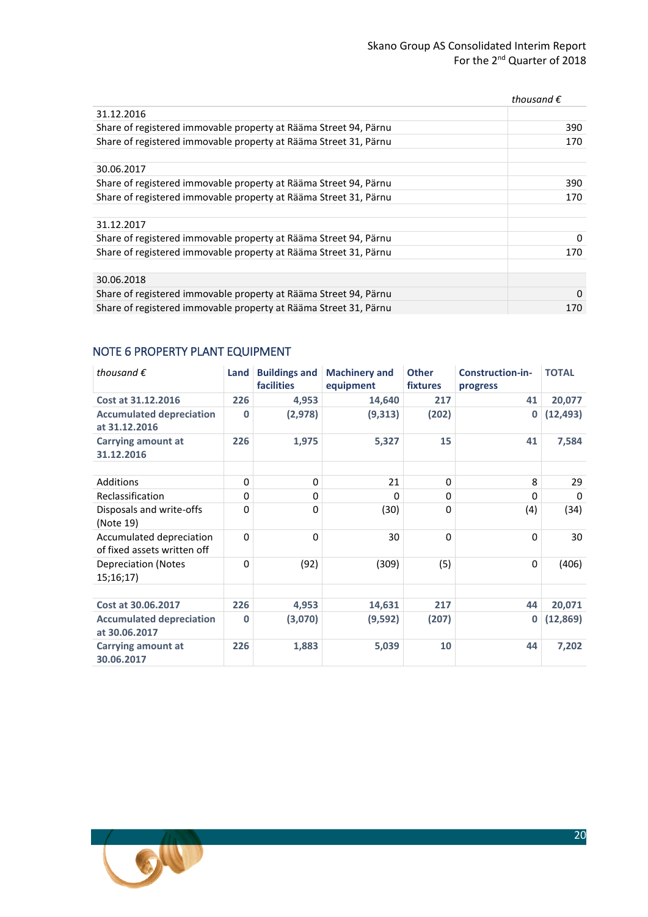## Skano Group AS Consolidated Interim Report For the 2<sup>nd</sup> Quarter of 2018

|                                                                  | thousand $\epsilon$ |
|------------------------------------------------------------------|---------------------|
| 31.12.2016                                                       |                     |
| Share of registered immovable property at Rääma Street 94, Pärnu | 390                 |
| Share of registered immovable property at Rääma Street 31, Pärnu | 170                 |
|                                                                  |                     |
| 30.06.2017                                                       |                     |
| Share of registered immovable property at Rääma Street 94, Pärnu | 390                 |
| Share of registered immovable property at Rääma Street 31, Pärnu | 170                 |
|                                                                  |                     |
| 31.12.2017                                                       |                     |
| Share of registered immovable property at Rääma Street 94, Pärnu | 0                   |
| Share of registered immovable property at Rääma Street 31, Pärnu | 170                 |
|                                                                  |                     |
| 30.06.2018                                                       |                     |
| Share of registered immovable property at Rääma Street 94, Pärnu | 0                   |
| Share of registered immovable property at Rääma Street 31, Pärnu | 170                 |

# <span id="page-19-0"></span>NOTE 6 PROPERTY PLANT EQUIPMENT

| thousand $\epsilon$                                     | Land     | <b>Buildings and</b><br><b>facilities</b> | <b>Machinery and</b><br>equipment | <b>Other</b><br>fixtures | <b>Construction-in-</b><br>progress | <b>TOTAL</b> |
|---------------------------------------------------------|----------|-------------------------------------------|-----------------------------------|--------------------------|-------------------------------------|--------------|
| Cost at 31.12.2016                                      | 226      | 4,953                                     | 14,640                            | 217                      | 41                                  | 20,077       |
| <b>Accumulated depreciation</b><br>at 31.12.2016        | $\Omega$ | (2, 978)                                  | (9,313)                           | (202)                    | $\mathbf 0$                         | (12, 493)    |
| <b>Carrying amount at</b><br>31.12.2016                 | 226      | 1,975                                     | 5,327                             | 15                       | 41                                  | 7,584        |
|                                                         |          |                                           |                                   |                          |                                     |              |
| Additions                                               | $\Omega$ | 0                                         | 21                                | 0                        | 8                                   | 29           |
| Reclassification                                        | $\Omega$ | 0                                         | $\Omega$                          | 0                        | $\Omega$                            | $\Omega$     |
| Disposals and write-offs<br>(Note 19)                   | $\Omega$ | 0                                         | (30)                              | 0                        | (4)                                 | (34)         |
| Accumulated depreciation<br>of fixed assets written off | $\Omega$ | $\Omega$                                  | 30                                | $\Omega$                 | $\Omega$                            | 30           |
| Depreciation (Notes<br>15;16;17)                        | $\Omega$ | (92)                                      | (309)                             | (5)                      | $\Omega$                            | (406)        |
|                                                         |          |                                           |                                   |                          |                                     |              |
| Cost at 30.06.2017                                      | 226      | 4,953                                     | 14,631                            | 217                      | 44                                  | 20,071       |
| <b>Accumulated depreciation</b><br>at 30.06.2017        | $\Omega$ | (3,070)                                   | (9, 592)                          | (207)                    | $\mathbf{0}$                        | (12, 869)    |
| <b>Carrying amount at</b><br>30.06.2017                 | 226      | 1,883                                     | 5,039                             | 10                       | 44                                  | 7,202        |

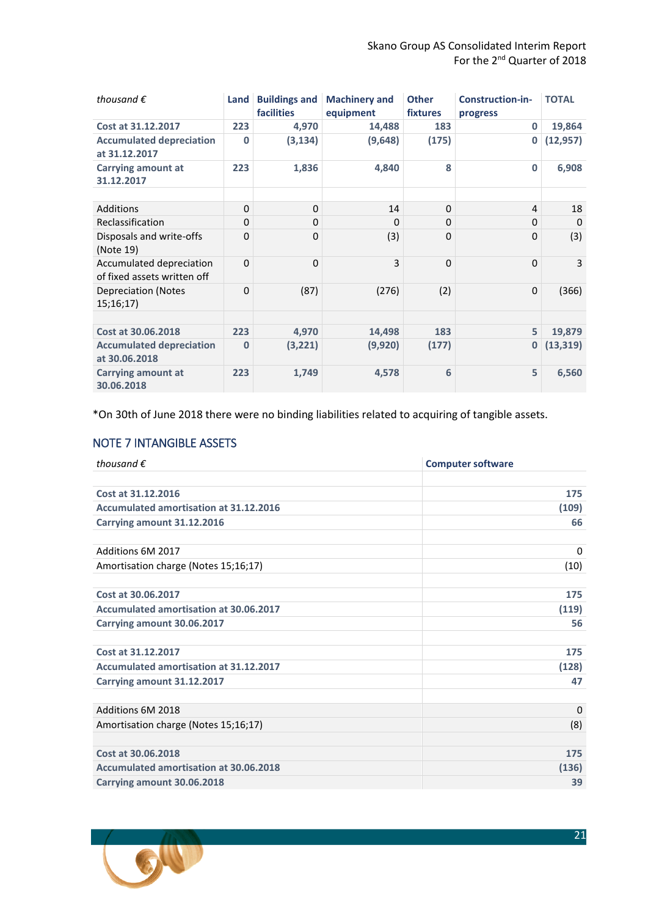| thousand $\epsilon$                                     | Land     | <b>Buildings and</b><br>facilities | <b>Machinery and</b><br>equipment | <b>Other</b><br><b>fixtures</b> | <b>Construction-in-</b><br>progress | <b>TOTAL</b> |
|---------------------------------------------------------|----------|------------------------------------|-----------------------------------|---------------------------------|-------------------------------------|--------------|
| Cost at 31.12.2017                                      | 223      | 4,970                              | 14,488                            | 183                             | $\mathbf{0}$                        | 19,864       |
| <b>Accumulated depreciation</b><br>at 31.12.2017        | 0        | (3, 134)                           | (9,648)                           | (175)                           | $\mathbf 0$                         | (12, 957)    |
| <b>Carrying amount at</b><br>31.12.2017                 | 223      | 1,836                              | 4,840                             | 8                               | $\mathbf{0}$                        | 6,908        |
|                                                         |          |                                    |                                   |                                 |                                     |              |
| Additions                                               | $\Omega$ | $\Omega$                           | 14                                | $\Omega$                        | $\overline{a}$                      | 18           |
| Reclassification                                        | 0        | $\Omega$                           | 0                                 | $\Omega$                        | $\Omega$                            | $\Omega$     |
| Disposals and write-offs<br>(Note 19)                   | 0        | $\Omega$                           | (3)                               | $\Omega$                        | $\Omega$                            | (3)          |
| Accumulated depreciation<br>of fixed assets written off | $\Omega$ | $\Omega$                           | 3                                 | $\Omega$                        | $\Omega$                            | 3            |
| <b>Depreciation (Notes</b><br>15;16;17)                 | $\Omega$ | (87)                               | (276)                             | (2)                             | $\mathbf 0$                         | (366)        |
|                                                         |          |                                    |                                   |                                 |                                     |              |
| Cost at 30.06.2018                                      | 223      | 4,970                              | 14,498                            | 183                             | 5                                   | 19,879       |
| <b>Accumulated depreciation</b><br>at 30.06.2018        | 0        | (3, 221)                           | (9,920)                           | (177)                           | $\mathbf{0}$                        | (13, 319)    |
| <b>Carrying amount at</b><br>30.06.2018                 | 223      | 1,749                              | 4,578                             | 6                               | 5                                   | 6,560        |

\*On 30th of June 2018 there were no binding liabilities related to acquiring of tangible assets.

## <span id="page-20-0"></span>NOTE 7 INTANGIBLE ASSETS

| thousand $\epsilon$                           | <b>Computer software</b> |  |  |
|-----------------------------------------------|--------------------------|--|--|
|                                               |                          |  |  |
| Cost at 31.12.2016                            | 175                      |  |  |
| <b>Accumulated amortisation at 31.12.2016</b> | (109)                    |  |  |
| Carrying amount 31.12.2016                    | 66                       |  |  |
|                                               |                          |  |  |
| Additions 6M 2017                             | $\Omega$                 |  |  |
| Amortisation charge (Notes 15;16;17)          | (10)                     |  |  |
|                                               |                          |  |  |
| Cost at 30.06.2017                            | 175                      |  |  |
| <b>Accumulated amortisation at 30.06.2017</b> | (119)                    |  |  |
| Carrying amount 30.06.2017                    | 56                       |  |  |
|                                               |                          |  |  |
| Cost at 31.12.2017                            | 175                      |  |  |
| <b>Accumulated amortisation at 31.12.2017</b> | (128)                    |  |  |
| Carrying amount 31.12.2017                    | 47                       |  |  |
|                                               |                          |  |  |
| Additions 6M 2018                             | $\Omega$                 |  |  |
| Amortisation charge (Notes 15;16;17)          | (8)                      |  |  |
|                                               |                          |  |  |
| Cost at 30.06.2018                            | 175                      |  |  |
| <b>Accumulated amortisation at 30.06.2018</b> | (136)                    |  |  |
| Carrying amount 30.06.2018                    | 39                       |  |  |

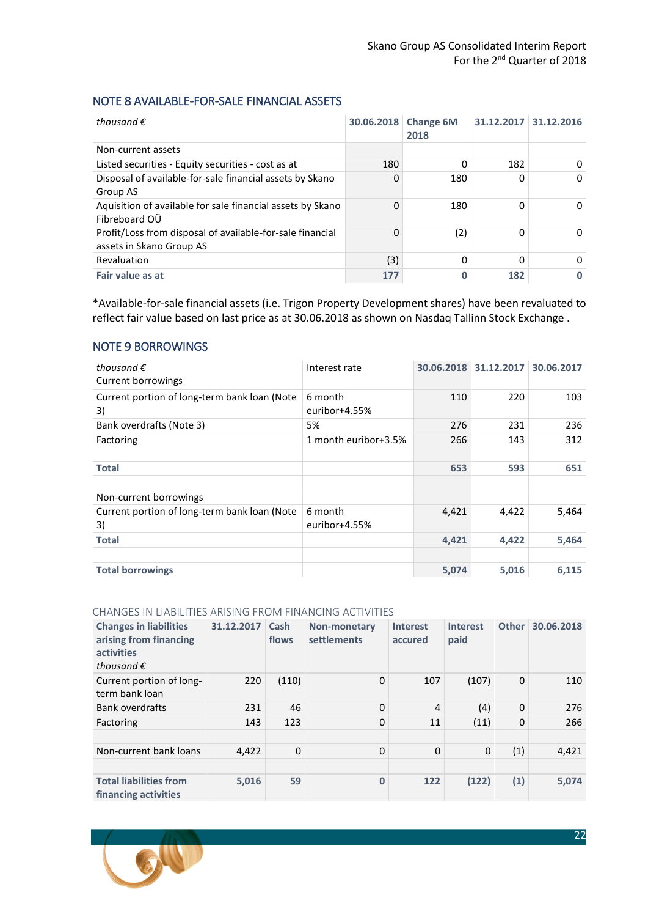## <span id="page-21-0"></span>NOTE 8 AVAILABLE-FOR-SALE FINANCIAL ASSETS

| thousand $\epsilon$                                                                   | 30.06.2018 | <b>Change 6M</b><br>2018 | 31.12.2017 | 31.12.2016 |
|---------------------------------------------------------------------------------------|------------|--------------------------|------------|------------|
| Non-current assets                                                                    |            |                          |            |            |
| Listed securities - Equity securities - cost as at                                    | 180        | 0                        | 182        | 0          |
| Disposal of available-for-sale financial assets by Skano<br>Group AS                  | 0          | 180                      |            | 0          |
| Aquisition of available for sale financial assets by Skano<br>Fibreboard OU           | $\Omega$   | 180                      |            | 0          |
| Profit/Loss from disposal of available-for-sale financial<br>assets in Skano Group AS | $\Omega$   | (2)                      |            | 0          |
| Revaluation                                                                           | (3)        | 0                        | $\Omega$   | O          |
| Fair value as at                                                                      | 177        | 0                        | 182        | Ω          |

\*Available-for-sale financial assets (i.e. Trigon Property Development shares) have been revaluated to reflect fair value based on last price as at 30.06.2018 as shown on Nasdaq Tallinn Stock Exchange .

#### <span id="page-21-1"></span>NOTE 9 BORROWINGS

| thousand $\epsilon$<br>Current borrowings          | Interest rate            | 30.06.2018 | 31.12.2017 | 30.06.2017 |
|----------------------------------------------------|--------------------------|------------|------------|------------|
| Current portion of long-term bank loan (Note<br>3) | 6 month<br>euribor+4.55% | 110        | 220        | 103        |
| Bank overdrafts (Note 3)                           | 5%                       | 276        | 231        | 236        |
| Factoring                                          | 1 month euribor+3.5%     | 266        | 143        | 312        |
| <b>Total</b>                                       |                          | 653        | 593        | 651        |
| Non-current borrowings                             |                          |            |            |            |
| Current portion of long-term bank loan (Note<br>3) | 6 month<br>euribor+4.55% | 4,421      | 4,422      | 5,464      |
| <b>Total</b>                                       |                          | 4,421      | 4,422      | 5,464      |
|                                                    |                          |            |            |            |
| <b>Total borrowings</b>                            |                          | 5,074      | 5,016      | 6,115      |

#### CHANGES IN LIABILITIES ARISING FROM FINANCING ACTIVITIES

| <b>Changes in liabilities</b><br>arising from financing<br><b>activities</b><br>thousand $\epsilon$ | 31.12.2017 | Cash<br>flows | <b>Non-monetary</b><br>settlements | <b>Interest</b><br>accured | <b>Interest</b><br>paid | <b>Other</b> | 30.06.2018 |
|-----------------------------------------------------------------------------------------------------|------------|---------------|------------------------------------|----------------------------|-------------------------|--------------|------------|
| Current portion of long-<br>term bank loan                                                          | 220        | (110)         | $\Omega$                           | 107                        | (107)                   | 0            | 110        |
| <b>Bank overdrafts</b>                                                                              | 231        | 46            | 0                                  | 4                          | (4)                     | $\Omega$     | 276        |
| Factoring                                                                                           | 143        | 123           | $\Omega$                           | 11                         | (11)                    | $\Omega$     | 266        |
|                                                                                                     |            |               |                                    |                            |                         |              |            |
| Non-current bank loans                                                                              | 4,422      | $\mathbf 0$   | $\mathbf{0}$                       | 0                          | $\mathbf 0$             | (1)          | 4,421      |
|                                                                                                     |            |               |                                    |                            |                         |              |            |
| <b>Total liabilities from</b><br>financing activities                                               | 5,016      | 59            | $\Omega$                           | 122                        | (122)                   | (1)          | 5,074      |

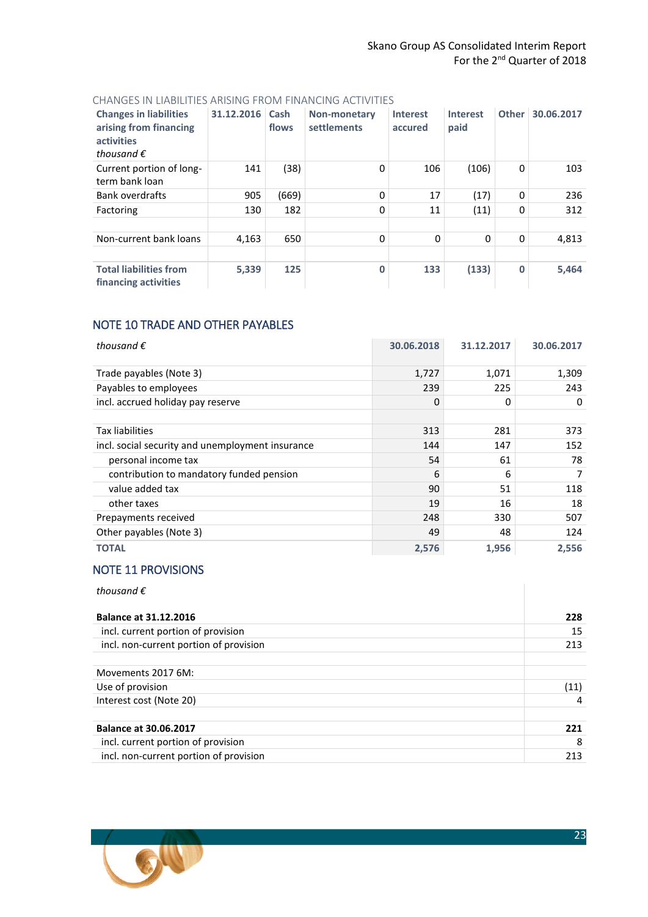### CHANGES IN LIABILITIES ARISING FROM FINANCING ACTIVITIES

| <b>Changes in liabilities</b><br>arising from financing<br><b>activities</b><br>thousand $\epsilon$ | 31.12.2016 | Cash<br>flows | <b>Non-monetary</b><br>settlements | <b>Interest</b><br>accured | Interest<br>paid | <b>Other</b> | 30.06.2017 |
|-----------------------------------------------------------------------------------------------------|------------|---------------|------------------------------------|----------------------------|------------------|--------------|------------|
| Current portion of long-<br>term bank loan                                                          | 141        | (38)          | 0                                  | 106                        | (106)            | 0            | 103        |
| <b>Bank overdrafts</b>                                                                              | 905        | (669)         | 0                                  | 17                         | (17)             | 0            | 236        |
| Factoring                                                                                           | 130        | 182           | 0                                  | 11                         | (11)             | 0            | 312        |
|                                                                                                     |            |               |                                    |                            |                  |              |            |
| Non-current bank loans                                                                              | 4,163      | 650           | $\Omega$                           | 0                          | 0                | 0            | 4,813      |
|                                                                                                     |            |               |                                    |                            |                  |              |            |
| <b>Total liabilities from</b><br>financing activities                                               | 5,339      | 125           | $\mathbf{0}$                       | 133                        | (133)            | 0            | 5,464      |

# <span id="page-22-0"></span>NOTE 10 TRADE AND OTHER PAYABLES

| thousand $\epsilon$                              | 30.06.2018 | 31.12.2017 | 30.06.2017 |
|--------------------------------------------------|------------|------------|------------|
| Trade payables (Note 3)                          | 1,727      | 1,071      | 1,309      |
| Payables to employees                            | 239        | 225        | 243        |
| incl. accrued holiday pay reserve                | 0          | 0          | 0          |
|                                                  |            |            |            |
| Tax liabilities                                  | 313        | 281        | 373        |
| incl. social security and unemployment insurance | 144        | 147        | 152        |
| personal income tax                              | 54         | 61         | 78         |
| contribution to mandatory funded pension         | 6          | 6          | 7          |
| value added tax                                  | 90         | 51         | 118        |
| other taxes                                      | 19         | 16         | 18         |
| Prepayments received                             | 248        | 330        | 507        |
| Other payables (Note 3)                          | 49         | 48         | 124        |
| <b>TOTAL</b>                                     | 2,576      | 1,956      | 2,556      |

## <span id="page-22-1"></span>NOTE 11 PROVISIONS

| thousand $\epsilon$                    |      |
|----------------------------------------|------|
| <b>Balance at 31.12.2016</b>           | 228  |
| incl. current portion of provision     | 15   |
| incl. non-current portion of provision | 213  |
| Movements 2017 6M:                     |      |
| Use of provision                       | (11) |
| Interest cost (Note 20)                | 4    |
| <b>Balance at 30.06.2017</b>           | 221  |
| incl. current portion of provision     | 8    |
| incl. non-current portion of provision | 213  |

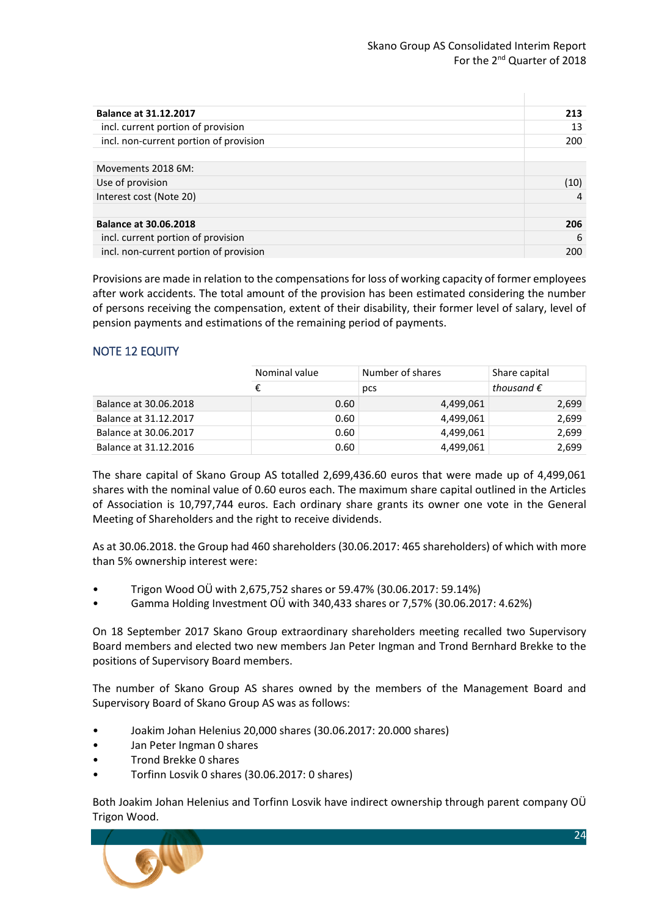| <b>Balance at 31.12.2017</b>           | 213  |
|----------------------------------------|------|
| incl. current portion of provision     | 13   |
| incl. non-current portion of provision | 200  |
|                                        |      |
| Movements 2018 6M:                     |      |
| Use of provision                       | (10) |
| Interest cost (Note 20)                | 4    |
|                                        |      |
| <b>Balance at 30.06.2018</b>           | 206  |
| incl. current portion of provision     | 6    |
| incl. non-current portion of provision | 200  |

Provisions are made in relation to the compensations for loss of working capacity of former employees after work accidents. The total amount of the provision has been estimated considering the number of persons receiving the compensation, extent of their disability, their former level of salary, level of pension payments and estimations of the remaining period of payments.

## <span id="page-23-0"></span>NOTE 12 EQUITY

|                       | Nominal value | Number of shares | Share capital       |
|-----------------------|---------------|------------------|---------------------|
|                       | €             | pcs              | thousand $\epsilon$ |
| Balance at 30.06.2018 | 0.60          | 4,499,061        | 2,699               |
| Balance at 31.12.2017 | 0.60          | 4,499,061        | 2,699               |
| Balance at 30.06.2017 | 0.60          | 4,499,061        | 2,699               |
| Balance at 31.12.2016 | 0.60          | 4,499,061        | 2,699               |

The share capital of Skano Group AS totalled 2,699,436.60 euros that were made up of 4,499,061 shares with the nominal value of 0.60 euros each. The maximum share capital outlined in the Articles of Association is 10,797,744 euros. Each ordinary share grants its owner one vote in the General Meeting of Shareholders and the right to receive dividends.

As at 30.06.2018. the Group had 460 shareholders (30.06.2017: 465 shareholders) of which with more than 5% ownership interest were:

- Trigon Wood OÜ with 2,675,752 shares or 59.47% (30.06.2017: 59.14%)
- Gamma Holding Investment OÜ with 340,433 shares or 7,57% (30.06.2017: 4.62%)

On 18 September 2017 Skano Group extraordinary shareholders meeting recalled two Supervisory Board members and elected two new members Jan Peter Ingman and Trond Bernhard Brekke to the positions of Supervisory Board members.

The number of Skano Group AS shares owned by the members of the Management Board and Supervisory Board of Skano Group AS was as follows:

- Joakim Johan Helenius 20,000 shares (30.06.2017: 20.000 shares)
- Jan Peter Ingman 0 shares
- Trond Brekke 0 shares
- Torfinn Losvik 0 shares (30.06.2017: 0 shares)

Both Joakim Johan Helenius and Torfinn Losvik have indirect ownership through parent company OÜ Trigon Wood.

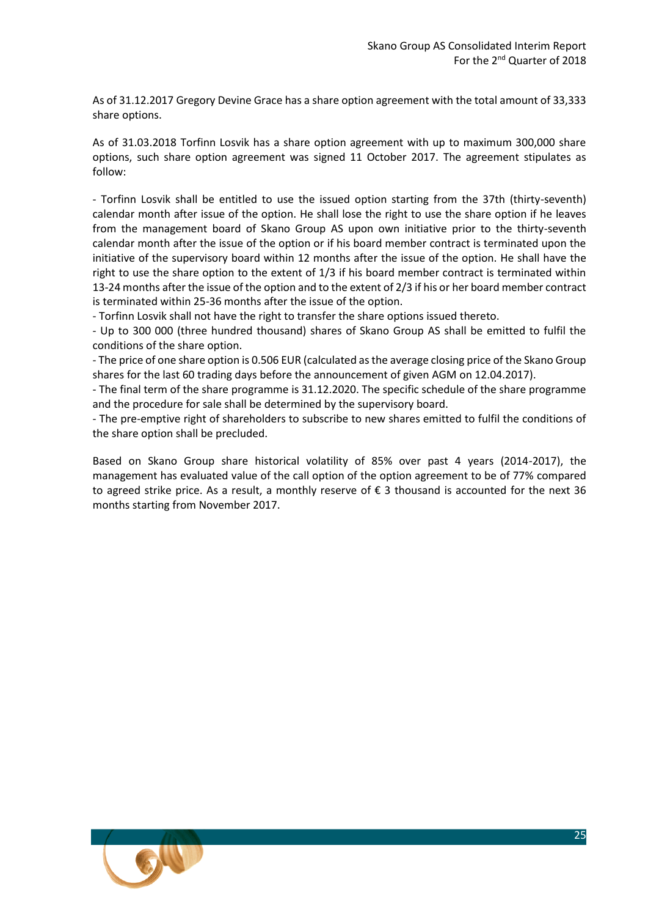As of 31.12.2017 Gregory Devine Grace has a share option agreement with the total amount of 33,333 share options.

As of 31.03.2018 Torfinn Losvik has a share option agreement with up to maximum 300,000 share options, such share option agreement was signed 11 October 2017. The agreement stipulates as follow:

- Torfinn Losvik shall be entitled to use the issued option starting from the 37th (thirty-seventh) calendar month after issue of the option. He shall lose the right to use the share option if he leaves from the management board of Skano Group AS upon own initiative prior to the thirty-seventh calendar month after the issue of the option or if his board member contract is terminated upon the initiative of the supervisory board within 12 months after the issue of the option. He shall have the right to use the share option to the extent of 1/3 if his board member contract is terminated within 13-24 months after the issue of the option and to the extent of 2/3 if his or her board member contract is terminated within 25-36 months after the issue of the option.

- Torfinn Losvik shall not have the right to transfer the share options issued thereto.

- Up to 300 000 (three hundred thousand) shares of Skano Group AS shall be emitted to fulfil the conditions of the share option.

- The price of one share option is 0.506 EUR (calculated as the average closing price of the Skano Group shares for the last 60 trading days before the announcement of given AGM on 12.04.2017).

- The final term of the share programme is 31.12.2020. The specific schedule of the share programme and the procedure for sale shall be determined by the supervisory board.

- The pre-emptive right of shareholders to subscribe to new shares emitted to fulfil the conditions of the share option shall be precluded.

Based on Skano Group share historical volatility of 85% over past 4 years (2014-2017), the management has evaluated value of the call option of the option agreement to be of 77% compared to agreed strike price. As a result, a monthly reserve of € 3 thousand is accounted for the next 36 months starting from November 2017.

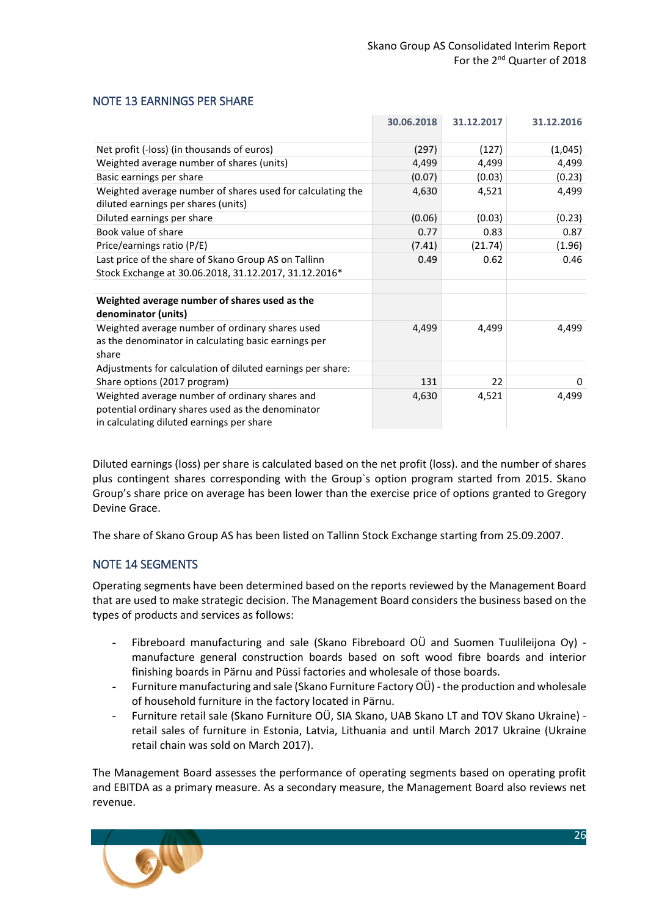|                                                                                                                  | 30.06.2018 | 31.12.2017 | 31.12.2016 |
|------------------------------------------------------------------------------------------------------------------|------------|------------|------------|
| Net profit (-loss) (in thousands of euros)                                                                       | (297)      | (127)      | (1,045)    |
| Weighted average number of shares (units)                                                                        | 4,499      | 4,499      | 4,499      |
| Basic earnings per share                                                                                         | (0.07)     | (0.03)     | (0.23)     |
| Weighted average number of shares used for calculating the                                                       | 4,630      | 4,521      | 4,499      |
| diluted earnings per shares (units)                                                                              |            |            |            |
| Diluted earnings per share                                                                                       | (0.06)     | (0.03)     | (0.23)     |
| Book value of share                                                                                              | 0.77       | 0.83       | 0.87       |
| Price/earnings ratio (P/E)                                                                                       | (7.41)     | (21.74)    | (1.96)     |
| Last price of the share of Skano Group AS on Tallinn                                                             | 0.49       | 0.62       | 0.46       |
| Stock Exchange at 30.06.2018, 31.12.2017, 31.12.2016*                                                            |            |            |            |
|                                                                                                                  |            |            |            |
| Weighted average number of shares used as the<br>denominator (units)                                             |            |            |            |
| Weighted average number of ordinary shares used<br>as the denominator in calculating basic earnings per<br>share | 4,499      | 4,499      | 4,499      |
| Adjustments for calculation of diluted earnings per share:                                                       |            |            |            |
| Share options (2017 program)                                                                                     | 131        | 22         | 0          |
| Weighted average number of ordinary shares and                                                                   | 4,630      | 4,521      | 4,499      |
| potential ordinary shares used as the denominator                                                                |            |            |            |
| in calculating diluted earnings per share                                                                        |            |            |            |

## <span id="page-25-0"></span>NOTE 13 EARNINGS PER SHARE

Diluted earnings (loss) per share is calculated based on the net profit (loss). and the number of shares plus contingent shares corresponding with the Group`s option program started from 2015. Skano Group's share price on average has been lower than the exercise price of options granted to Gregory Devine Grace.

The share of Skano Group AS has been listed on Tallinn Stock Exchange starting from 25.09.2007.

## <span id="page-25-1"></span>NOTE 14 SEGMENTS

Operating segments have been determined based on the reports reviewed by the Management Board that are used to make strategic decision. The Management Board considers the business based on the types of products and services as follows:

- Fibreboard manufacturing and sale (Skano Fibreboard OÜ and Suomen Tuulileijona Oy) manufacture general construction boards based on soft wood fibre boards and interior finishing boards in Pärnu and Püssi factories and wholesale of those boards.
- Furniture manufacturing and sale (Skano Furniture Factory OÜ) the production and wholesale of household furniture in the factory located in Pärnu.
- Furniture retail sale (Skano Furniture OÜ, SIA Skano, UAB Skano LT and TOV Skano Ukraine) retail sales of furniture in Estonia, Latvia, Lithuania and until March 2017 Ukraine (Ukraine retail chain was sold on March 2017).

The Management Board assesses the performance of operating segments based on operating profit and EBITDA as a primary measure. As a secondary measure, the Management Board also reviews net revenue.

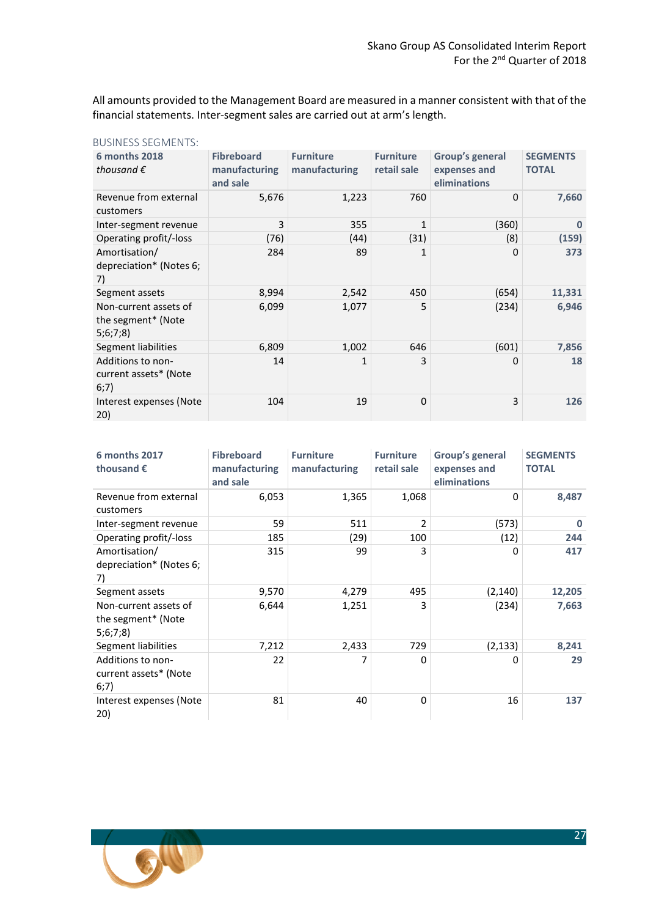All amounts provided to the Management Board are measured in a manner consistent with that of the financial statements. Inter-segment sales are carried out at arm's length.

| DONIJENJ NEMIRIETJIJ.                                   |                                                |                                   |                                 |                                                 |                                 |
|---------------------------------------------------------|------------------------------------------------|-----------------------------------|---------------------------------|-------------------------------------------------|---------------------------------|
| <b>6 months 2018</b><br>thousand $\epsilon$             | <b>Fibreboard</b><br>manufacturing<br>and sale | <b>Furniture</b><br>manufacturing | <b>Furniture</b><br>retail sale | Group's general<br>expenses and<br>eliminations | <b>SEGMENTS</b><br><b>TOTAL</b> |
| Revenue from external<br>customers                      | 5,676                                          | 1,223                             | 760                             | $\Omega$                                        | 7,660                           |
| Inter-segment revenue                                   | 3                                              | 355                               | $\mathbf{1}$                    | (360)                                           | 0                               |
| Operating profit/-loss                                  | (76)                                           | (44)                              | (31)                            | (8)                                             | (159)                           |
| Amortisation/<br>depreciation* (Notes 6;<br>7)          | 284                                            | 89                                | 1                               | $\Omega$                                        | 373                             |
| Segment assets                                          | 8,994                                          | 2,542                             | 450                             | (654)                                           | 11,331                          |
| Non-current assets of<br>the segment* (Note<br>5;6;7;8) | 6,099                                          | 1,077                             | 5                               | (234)                                           | 6,946                           |
| Segment liabilities                                     | 6,809                                          | 1,002                             | 646                             | (601)                                           | 7,856                           |
| Additions to non-<br>current assets* (Note<br>6;7)      | 14                                             | 1                                 | 3                               | 0                                               | 18                              |
| Interest expenses (Note<br>20)                          | 104                                            | 19                                | $\mathbf 0$                     | 3                                               | 126                             |

#### BUSINESS SEGMENTS:

| <b>6 months 2017</b><br>thousand $\epsilon$                         | <b>Fibreboard</b><br>manufacturing<br>and sale | <b>Furniture</b><br>manufacturing | <b>Furniture</b><br>retail sale | Group's general<br>expenses and<br>eliminations | <b>SEGMENTS</b><br><b>TOTAL</b> |
|---------------------------------------------------------------------|------------------------------------------------|-----------------------------------|---------------------------------|-------------------------------------------------|---------------------------------|
| Revenue from external<br>customers                                  | 6,053                                          | 1,365                             | 1,068                           | 0                                               | 8,487                           |
| Inter-segment revenue                                               | 59                                             | 511                               | 2                               | (573)                                           | $\mathbf 0$                     |
| Operating profit/-loss                                              | 185                                            | (29)                              | 100                             | (12)                                            | 244                             |
| Amortisation/<br>depreciation* (Notes 6;<br>7)                      | 315                                            | 99                                | 3                               | O                                               | 417                             |
| Segment assets                                                      | 9,570                                          | 4,279                             | 495                             | (2, 140)                                        | 12,205                          |
| Non-current assets of<br>the segment <sup>*</sup> (Note<br>5;6;7;8) | 6,644                                          | 1,251                             | 3                               | (234)                                           | 7,663                           |
| Segment liabilities                                                 | 7,212                                          | 2,433                             | 729                             | (2, 133)                                        | 8,241                           |
| Additions to non-<br>current assets* (Note<br>6;7)                  | 22                                             | 7                                 | 0                               | 0                                               | 29                              |
| Interest expenses (Note<br>20)                                      | 81                                             | 40                                | 0                               | 16                                              | 137                             |

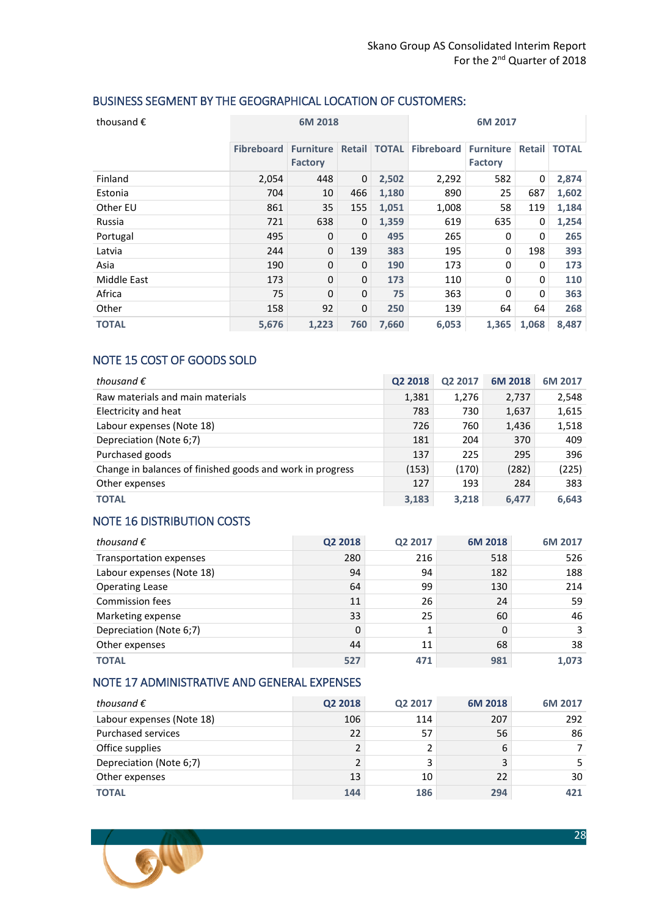| thousand $\epsilon$ | 6M 2018           |                                    |          |              | 6M 2017           |                             |        |              |
|---------------------|-------------------|------------------------------------|----------|--------------|-------------------|-----------------------------|--------|--------------|
|                     | <b>Fibreboard</b> | <b>Furniture</b><br><b>Factory</b> |          | Retail TOTAL | <b>Fibreboard</b> | Furniture<br><b>Factory</b> | Retail | <b>TOTAL</b> |
| Finland             | 2,054             | 448                                | 0        | 2,502        | 2,292             | 582                         | 0      | 2,874        |
| Estonia             | 704               | 10                                 | 466      | 1,180        | 890               | 25                          | 687    | 1,602        |
| Other EU            | 861               | 35                                 | 155      | 1,051        | 1,008             | 58                          | 119    | 1,184        |
| Russia              | 721               | 638                                | 0        | 1,359        | 619               | 635                         | 0      | 1,254        |
| Portugal            | 495               | 0                                  | $\Omega$ | 495          | 265               | 0                           | 0      | 265          |
| Latvia              | 244               | 0                                  | 139      | 383          | 195               | 0                           | 198    | 393          |
| Asia                | 190               | 0                                  | $\Omega$ | 190          | 173               | 0                           | 0      | 173          |
| Middle East         | 173               | 0                                  | 0        | 173          | 110               | 0                           | 0      | 110          |
| Africa              | 75                | $\Omega$                           | $\Omega$ | 75           | 363               | 0                           | 0      | 363          |
| Other               | 158               | 92                                 | 0        | 250          | 139               | 64                          | 64     | 268          |
| <b>TOTAL</b>        | 5,676             | 1,223                              | 760      | 7,660        | 6,053             | 1,365                       | 1,068  | 8,487        |

## <span id="page-27-0"></span>BUSINESS SEGMENT BY THE GEOGRAPHICAL LOCATION OF CUSTOMERS:

## <span id="page-27-1"></span>NOTE 15 COST OF GOODS SOLD

| thousand $\epsilon$                                       | Q2 2018 | Q2 2017 | 6M 2018 | 6M 2017 |
|-----------------------------------------------------------|---------|---------|---------|---------|
| Raw materials and main materials                          | 1,381   | 1,276   | 2,737   | 2,548   |
| Electricity and heat                                      | 783     | 730     | 1,637   | 1,615   |
| Labour expenses (Note 18)                                 | 726     | 760     | 1,436   | 1,518   |
| Depreciation (Note 6;7)                                   | 181     | 204     | 370     | 409     |
| Purchased goods                                           | 137     | 225     | 295     | 396     |
| Change in balances of finished goods and work in progress | (153)   | (170)   | (282)   | (225)   |
| Other expenses                                            | 127     | 193     | 284     | 383     |
| <b>TOTAL</b>                                              | 3,183   | 3,218   | 6,477   | 6,643   |

## <span id="page-27-2"></span>NOTE 16 DISTRIBUTION COSTS

| thousand $\epsilon$       | Q2 2018 | Q2 2017 | 6M 2018 | 6M 2017 |
|---------------------------|---------|---------|---------|---------|
| Transportation expenses   | 280     | 216     | 518     | 526     |
| Labour expenses (Note 18) | 94      | 94      | 182     | 188     |
| <b>Operating Lease</b>    | 64      | 99      | 130     | 214     |
| <b>Commission fees</b>    | 11      | 26      | 24      | 59      |
| Marketing expense         | 33      | 25      | 60      | 46      |
| Depreciation (Note 6;7)   | 0       |         | 0       |         |
| Other expenses            | 44      | 11      | 68      | 38      |
| <b>TOTAL</b>              | 527     | 471     | 981     | 1.073   |

## <span id="page-27-3"></span>NOTE 17 ADMINISTRATIVE AND GENERAL EXPENSES

| thousand $\epsilon$       | Q2 2018        | Q <sub>2</sub> 2017 | 6M 2018 | 6M 2017 |
|---------------------------|----------------|---------------------|---------|---------|
| Labour expenses (Note 18) | 106            | 114                 | 207     | 292     |
| <b>Purchased services</b> | 22             | 57                  | 56      | 86      |
| Office supplies           | 2              |                     | 6       |         |
| Depreciation (Note 6;7)   | $\overline{2}$ | $\mathbf{r}$        | 3       |         |
| Other expenses            | 13             | 10                  | 22      | 30      |
| <b>TOTAL</b>              | 144            | 186                 | 294     | 421     |

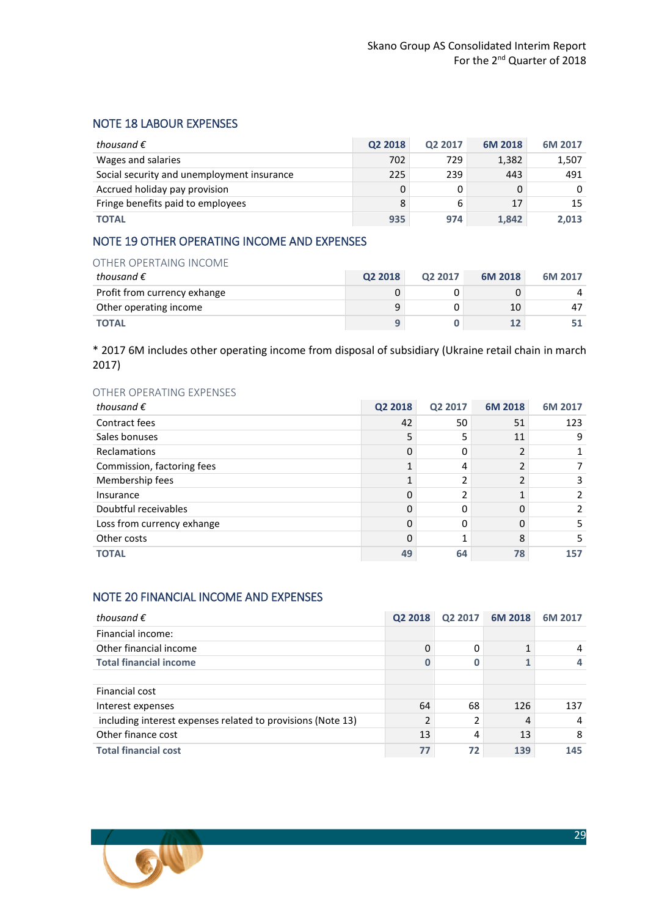## <span id="page-28-0"></span>NOTE 18 LABOUR EXPENSES

| thousand $\epsilon$                        | Q2 2018 | Q2 2017 | 6M 2018 | 6M 2017  |
|--------------------------------------------|---------|---------|---------|----------|
| Wages and salaries                         | 702     | 729     | 1,382   | 1,507    |
| Social security and unemployment insurance | 225     | 239     | 443     | 491      |
| Accrued holiday pay provision              | 0       |         |         | $\Omega$ |
| Fringe benefits paid to employees          | 8       | 6       | 17      | 15       |
| <b>TOTAL</b>                               | 935     | 974     | 1.842   | 2.013    |

## <span id="page-28-1"></span>NOTE 19 OTHER OPERATING INCOME AND EXPENSES

#### OTHER OPERTAING INCOME

| thousand $\epsilon$          | Q <sub>2</sub> 2018 | Q2 2017 | 6M 2018 | 6M 2017 |
|------------------------------|---------------------|---------|---------|---------|
| Profit from currency exhange |                     |         |         |         |
| Other operating income       | q                   |         | 10      |         |
| <b>TOTAL</b>                 |                     |         |         |         |

\* 2017 6M includes other operating income from disposal of subsidiary (Ukraine retail chain in march 2017)

and the company

#### OTHER OPERATING EXPENSES

| thousand $\epsilon$        | Q2 2018 | Q2 2017 | 6M 2018 | 6M 2017 |
|----------------------------|---------|---------|---------|---------|
| Contract fees              | 42      | 50      | 51      | 123     |
| Sales bonuses              | 5       | 5       | 11      | 9       |
| <b>Reclamations</b>        | 0       | 0       |         |         |
| Commission, factoring fees |         | 4       |         |         |
| Membership fees            |         | ำ       |         |         |
| Insurance                  | 0       | 2       |         |         |
| Doubtful receivables       | 0       | 0       |         |         |
| Loss from currency exhange | 0       | 0       |         |         |
| Other costs                | 0       | 1       | 8       |         |
| <b>TOTAL</b>               | 49      | 64      | 78      | 157     |

## <span id="page-28-2"></span>NOTE 20 FINANCIAL INCOME AND EXPENSES

| thousand $\epsilon$                                         | Q2 2018       | Q2 2017 | 6M 2018 | 6M 2017 |
|-------------------------------------------------------------|---------------|---------|---------|---------|
| Financial income:                                           |               |         |         |         |
| Other financial income                                      | 0             | 0       |         | 4       |
| <b>Total financial income</b>                               | 0             | 0       |         |         |
|                                                             |               |         |         |         |
| Financial cost                                              |               |         |         |         |
| Interest expenses                                           | 64            | 68      | 126     | 137     |
| including interest expenses related to provisions (Note 13) | $\mathcal{P}$ | 2       | 4       | 4       |
| Other finance cost                                          | 13            | 4       | 13      | 8       |
| <b>Total financial cost</b>                                 | 77            | 72      | 139     | 145     |